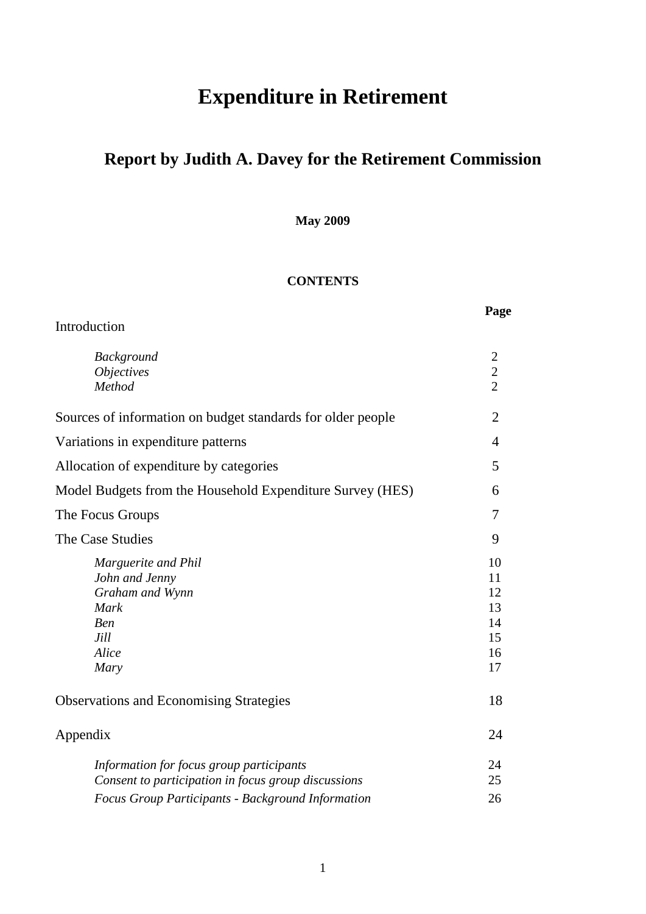# **Expenditure in Retirement**

# **Report by Judith A. Davey for the Retirement Commission**

**May 2009**

## **CONTENTS**

| Introduction                                                                                                                                                | Page                                         |
|-------------------------------------------------------------------------------------------------------------------------------------------------------------|----------------------------------------------|
| <b>Background</b><br><i><b>Objectives</b></i><br>Method                                                                                                     | $\mathfrak{2}$<br>$\frac{2}{2}$              |
| Sources of information on budget standards for older people                                                                                                 | $\overline{2}$                               |
| Variations in expenditure patterns                                                                                                                          | 4                                            |
| Allocation of expenditure by categories                                                                                                                     | 5                                            |
| Model Budgets from the Household Expenditure Survey (HES)                                                                                                   | 6                                            |
| The Focus Groups                                                                                                                                            | 7                                            |
| The Case Studies                                                                                                                                            | 9                                            |
| Marguerite and Phil<br>John and Jenny<br>Graham and Wynn<br><b>Mark</b><br>Ben<br>Jill<br>Alice<br>Mary                                                     | 10<br>11<br>12<br>13<br>14<br>15<br>16<br>17 |
| <b>Observations and Economising Strategies</b>                                                                                                              | 18                                           |
| Appendix                                                                                                                                                    | 24                                           |
| Information for focus group participants<br>Consent to participation in focus group discussions<br><b>Focus Group Participants - Background Information</b> | 24<br>25<br>26                               |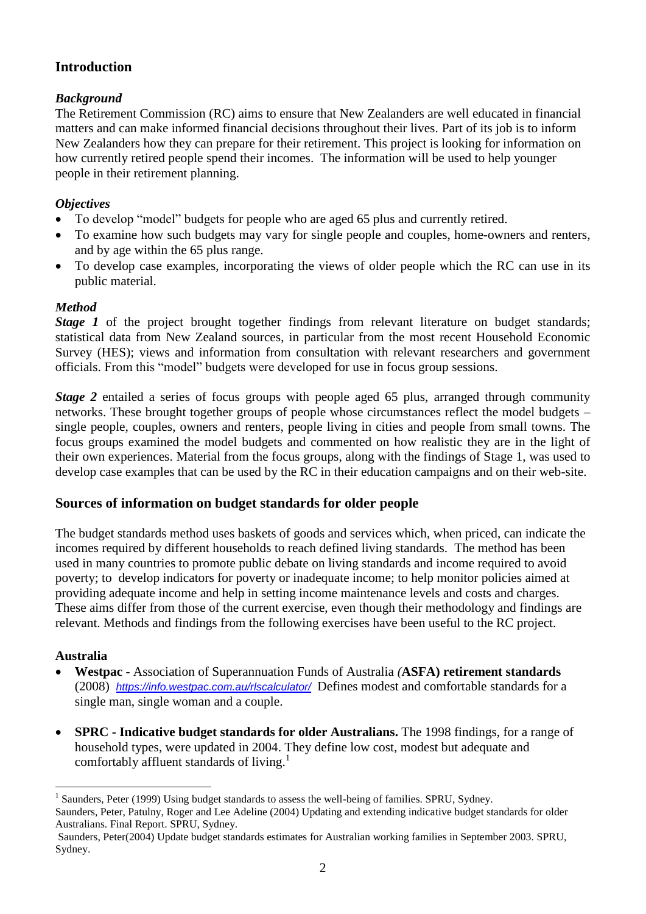## **Introduction**

## *Background*

The Retirement Commission (RC) aims to ensure that New Zealanders are well educated in financial matters and can make informed financial decisions throughout their lives. Part of its job is to inform New Zealanders how they can prepare for their retirement. This project is looking for information on how currently retired people spend their incomes. The information will be used to help younger people in their retirement planning.

#### *Objectives*

- To develop "model" budgets for people who are aged 65 plus and currently retired.
- To examine how such budgets may vary for single people and couples, home-owners and renters, and by age within the 65 plus range.
- To develop case examples, incorporating the views of older people which the RC can use in its public material.

## *Method*

*Stage 1* of the project brought together findings from relevant literature on budget standards; statistical data from New Zealand sources, in particular from the most recent Household Economic Survey (HES); views and information from consultation with relevant researchers and government officials. From this "model" budgets were developed for use in focus group sessions.

*Stage 2* entailed a series of focus groups with people aged 65 plus, arranged through community networks. These brought together groups of people whose circumstances reflect the model budgets – single people, couples, owners and renters, people living in cities and people from small towns. The focus groups examined the model budgets and commented on how realistic they are in the light of their own experiences. Material from the focus groups, along with the findings of Stage 1, was used to develop case examples that can be used by the RC in their education campaigns and on their web-site.

## **Sources of information on budget standards for older people**

The budget standards method uses baskets of goods and services which, when priced, can indicate the incomes required by different households to reach defined living standards. The method has been used in many countries to promote public debate on living standards and income required to avoid poverty; to develop indicators for poverty or inadequate income; to help monitor policies aimed at providing adequate income and help in setting income maintenance levels and costs and charges. These aims differ from those of the current exercise, even though their methodology and findings are relevant. Methods and findings from the following exercises have been useful to the RC project.

#### **Australia**

1

- **Westpac -** Association of Superannuation Funds of Australia *(***ASFA) retirement standards** (2008) *<https://info.westpac.com.au/rlscalculator/>*Defines modest and comfortable standards for a single man, single woman and a couple.
- **SPRC - Indicative budget standards for older Australians.** The 1998 findings, for a range of household types, were updated in 2004. They define low cost, modest but adequate and comfortably affluent standards of living.<sup>1</sup>

<sup>&</sup>lt;sup>1</sup> Saunders, Peter (1999) Using budget standards to assess the well-being of families. SPRU, Sydney. Saunders, Peter, Patulny, Roger and Lee Adeline (2004) Updating and extending indicative budget standards for older

Australians. Final Report. SPRU, Sydney.

Saunders, Peter(2004) Update budget standards estimates for Australian working families in September 2003. SPRU, Sydney.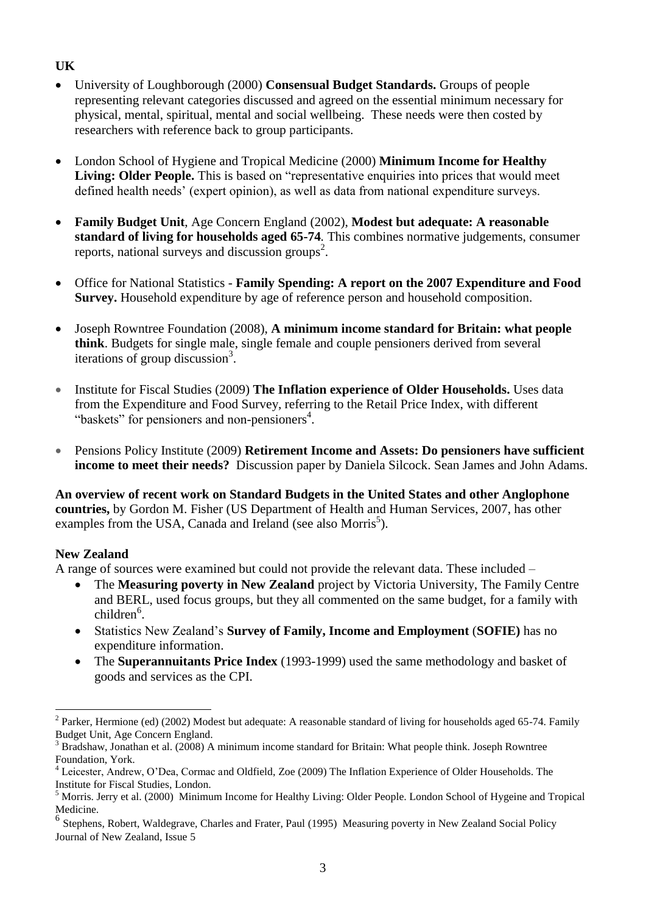## **UK**

- University of Loughborough (2000) **Consensual Budget Standards.** Groups of people representing relevant categories discussed and agreed on the essential minimum necessary for physical, mental, spiritual, mental and social wellbeing. These needs were then costed by researchers with reference back to group participants.
- London School of Hygiene and Tropical Medicine (2000) **Minimum Income for Healthy Living: Older People.** This is based on "representative enquiries into prices that would meet defined health needs' (expert opinion), as well as data from national expenditure surveys.
- **Family Budget Unit**, Age Concern England (2002), **Modest but adequate: A reasonable standard of living for households aged 65-74***.* This combines normative judgements, consumer reports, national surveys and discussion groups<sup>2</sup>.
- Office for National Statistics **Family Spending: A report on the 2007 Expenditure and Food Survey.** Household expenditure by age of reference person and household composition.
- Joseph Rowntree Foundation (2008), **A minimum income standard for Britain: what people think**. Budgets for single male, single female and couple pensioners derived from several iterations of group discussion<sup>3</sup>.
- Institute for Fiscal Studies (2009) **The Inflation experience of Older Households.** Uses data from the Expenditure and Food Survey, referring to the Retail Price Index, with different "baskets" for pensioners and non-pensioners $4$ .
- Pensions Policy Institute (2009) **Retirement Income and Assets: Do pensioners have sufficient income to meet their needs?** Discussion paper by Daniela Silcock. Sean James and John Adams.

**An overview of recent work on Standard Budgets in the United States and other Anglophone countries,** by Gordon M. Fisher (US Department of Health and Human Services, 2007, has other examples from the USA, Canada and Ireland (see also Morris<sup>5</sup>).

#### **New Zealand**

A range of sources were examined but could not provide the relevant data. These included –

- The **Measuring poverty in New Zealand** project by Victoria University, The Family Centre and BERL, used focus groups, but they all commented on the same budget, for a family with children<sup>6</sup>.
- Statistics New Zealand's **Survey of Family, Income and Employment** (**SOFIE)** has no expenditure information.
- The **Superannuitants Price Index** (1993-1999) used the same methodology and basket of goods and services as the CPI.

Parker, Hermione (ed) (2002) Modest but adequate: A reasonable standard of living for households aged 65-74. Family Budget Unit, Age Concern England.

<sup>3</sup> Bradshaw, Jonathan et al. (2008) A minimum income standard for Britain: What people think. Joseph Rowntree Foundation, York.

<sup>&</sup>lt;sup>4</sup> Leicester, Andrew, O'Dea, Cormac and Oldfield, Zoe (2009) The Inflation Experience of Older Households. The Institute for Fiscal Studies, London.

<sup>&</sup>lt;sup>5</sup> Morris. Jerry et al. (2000) Minimum Income for Healthy Living: Older People. London School of Hygeine and Tropical Medicine.

<sup>6</sup> Stephens, Robert, Waldegrave, Charles and Frater, Paul (1995) Measuring poverty in New Zealand Social Policy Journal of New Zealand, Issue 5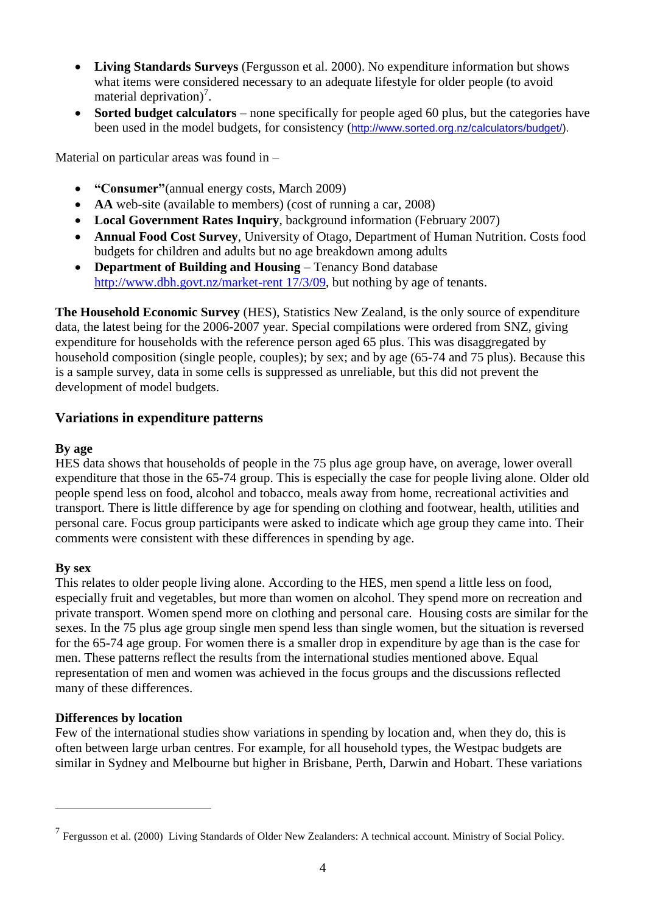- **Living Standards Surveys** (Fergusson et al. 2000). No expenditure information but shows what items were considered necessary to an adequate lifestyle for older people (to avoid material deprivation)<sup>7</sup>.
- **Sorted budget calculators** none specifically for people aged 60 plus, but the categories have been used in the model budgets, for consistency ([http://www.sorted.org.nz/calculators/budget/\)](http://www.sorted.org.nz/calculators/budget/).

Material on particular areas was found in –

- **"Consumer"**(annual energy costs, March 2009)
- **AA** web-site (available to members) (cost of running a car, 2008)
- **Local Government Rates Inquiry**, background information (February 2007)
- **Annual Food Cost Survey**, University of Otago, Department of Human Nutrition. Costs food budgets for children and adults but no age breakdown among adults
- **Department of Building and Housing** Tenancy Bond database [http://www.dbh.govt.nz/market-rent](http://www.dbh.govt.nz/market-rent%2017/3/09) 17/3/09, but nothing by age of tenants.

**The Household Economic Survey** (HES), Statistics New Zealand, is the only source of expenditure data, the latest being for the 2006-2007 year. Special compilations were ordered from SNZ, giving expenditure for households with the reference person aged 65 plus. This was disaggregated by household composition (single people, couples); by sex; and by age (65-74 and 75 plus). Because this is a sample survey, data in some cells is suppressed as unreliable, but this did not prevent the development of model budgets.

## **Variations in expenditure patterns**

#### **By age**

HES data shows that households of people in the 75 plus age group have, on average, lower overall expenditure that those in the 65-74 group. This is especially the case for people living alone. Older old people spend less on food, alcohol and tobacco, meals away from home, recreational activities and transport. There is little difference by age for spending on clothing and footwear, health, utilities and personal care. Focus group participants were asked to indicate which age group they came into. Their comments were consistent with these differences in spending by age.

#### **By sex**

<u>.</u>

This relates to older people living alone. According to the HES, men spend a little less on food, especially fruit and vegetables, but more than women on alcohol. They spend more on recreation and private transport. Women spend more on clothing and personal care. Housing costs are similar for the sexes. In the 75 plus age group single men spend less than single women, but the situation is reversed for the 65-74 age group. For women there is a smaller drop in expenditure by age than is the case for men. These patterns reflect the results from the international studies mentioned above. Equal representation of men and women was achieved in the focus groups and the discussions reflected many of these differences.

#### **Differences by location**

Few of the international studies show variations in spending by location and, when they do, this is often between large urban centres. For example, for all household types, the Westpac budgets are similar in Sydney and Melbourne but higher in Brisbane, Perth, Darwin and Hobart. These variations

<sup>&</sup>lt;sup>7</sup> Fergusson et al. (2000) Living Standards of Older New Zealanders: A technical account. Ministry of Social Policy.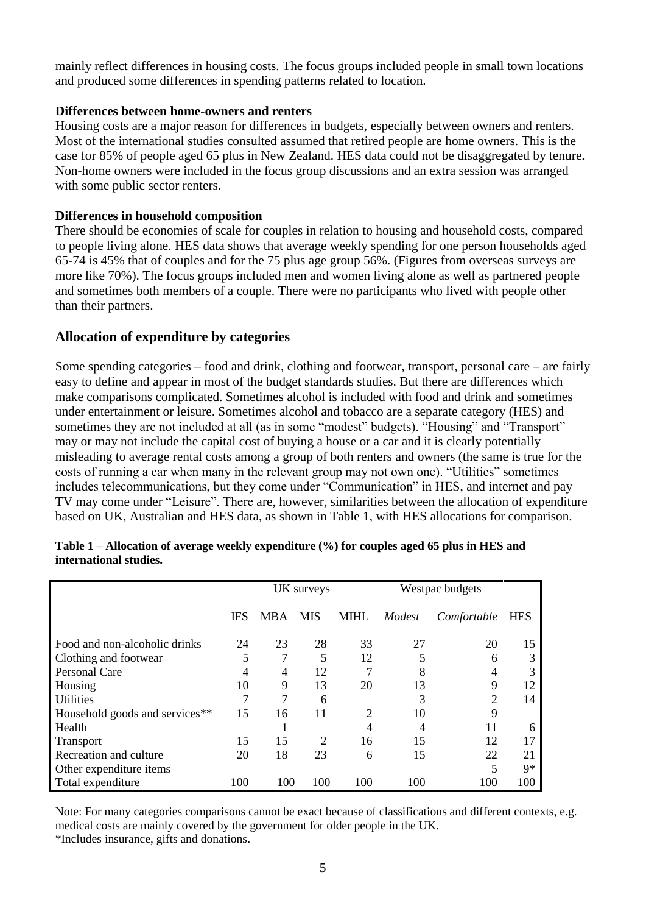mainly reflect differences in housing costs. The focus groups included people in small town locations and produced some differences in spending patterns related to location.

#### **Differences between home-owners and renters**

Housing costs are a major reason for differences in budgets, especially between owners and renters. Most of the international studies consulted assumed that retired people are home owners. This is the case for 85% of people aged 65 plus in New Zealand. HES data could not be disaggregated by tenure. Non-home owners were included in the focus group discussions and an extra session was arranged with some public sector renters.

#### **Differences in household composition**

There should be economies of scale for couples in relation to housing and household costs, compared to people living alone. HES data shows that average weekly spending for one person households aged 65-74 is 45% that of couples and for the 75 plus age group 56%. (Figures from overseas surveys are more like 70%). The focus groups included men and women living alone as well as partnered people and sometimes both members of a couple. There were no participants who lived with people other than their partners.

#### **Allocation of expenditure by categories**

Some spending categories – food and drink, clothing and footwear, transport, personal care – are fairly easy to define and appear in most of the budget standards studies. But there are differences which make comparisons complicated. Sometimes alcohol is included with food and drink and sometimes under entertainment or leisure. Sometimes alcohol and tobacco are a separate category (HES) and sometimes they are not included at all (as in some "modest" budgets). "Housing" and "Transport" may or may not include the capital cost of buying a house or a car and it is clearly potentially misleading to average rental costs among a group of both renters and owners (the same is true for the costs of running a car when many in the relevant group may not own one). "Utilities" sometimes includes telecommunications, but they come under "Communication" in HES, and internet and pay TV may come under "Leisure". There are, however, similarities between the allocation of expenditure based on UK, Australian and HES data, as shown in Table 1, with HES allocations for comparison.

|                                | UK surveys |            | Westpac budgets |                |        |                |            |
|--------------------------------|------------|------------|-----------------|----------------|--------|----------------|------------|
|                                | <b>IFS</b> | <b>MBA</b> | <b>MIS</b>      | <b>MIHL</b>    | Modest | Comfortable    | <b>HES</b> |
| Food and non-alcoholic drinks  | 24         | 23         | 28              | 33             | 27     | 20             | 15         |
| Clothing and footwear          | 5          | 7          | 5               | 12             | 5      | 6              | 3          |
| <b>Personal Care</b>           | 4          | 4          | 12              | 7              | 8      |                | 3          |
| Housing                        | 10         | 9          | 13              | 20             | 13     | 9              | 12         |
| <b>Utilities</b>               |            | 7          | 6               |                | 3      | $\overline{c}$ | 14         |
| Household goods and services** | 15         | 16         | 11              | $\overline{2}$ | 10     | 9              |            |
| Health                         |            |            |                 | 4              | 4      | 11             | 6          |
| <b>Transport</b>               | 15         | 15         | 2               | 16             | 15     | 12             |            |
| Recreation and culture         | 20         | 18         | 23              | 6              | 15     | 22             | 21         |
| Other expenditure items        |            |            |                 |                |        | 5              | $Q*$       |
| Total expenditure              | 100        | 100        | 100             | 100            | 100    | 100            | 100        |

**Table 1 – Allocation of average weekly expenditure (%) for couples aged 65 plus in HES and international studies.**

Note: For many categories comparisons cannot be exact because of classifications and different contexts, e.g. medical costs are mainly covered by the government for older people in the UK.

\*Includes insurance, gifts and donations.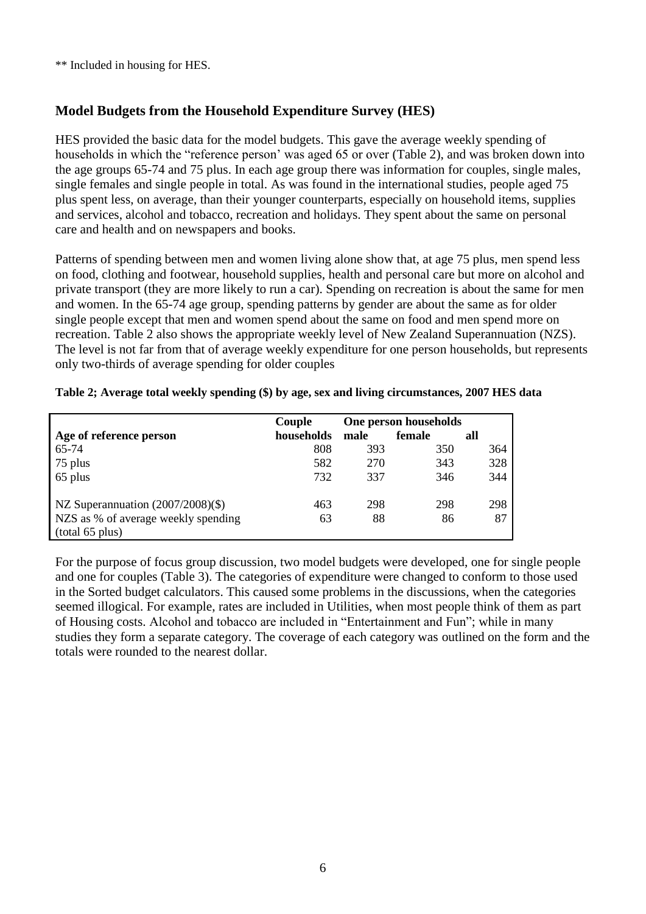\*\* Included in housing for HES.

## **Model Budgets from the Household Expenditure Survey (HES)**

HES provided the basic data for the model budgets. This gave the average weekly spending of households in which the "reference person' was aged 65 or over (Table 2), and was broken down into the age groups 65-74 and 75 plus. In each age group there was information for couples, single males, single females and single people in total. As was found in the international studies, people aged 75 plus spent less, on average, than their younger counterparts, especially on household items, supplies and services, alcohol and tobacco, recreation and holidays. They spent about the same on personal care and health and on newspapers and books.

Patterns of spending between men and women living alone show that, at age 75 plus, men spend less on food, clothing and footwear, household supplies, health and personal care but more on alcohol and private transport (they are more likely to run a car). Spending on recreation is about the same for men and women. In the 65-74 age group, spending patterns by gender are about the same as for older single people except that men and women spend about the same on food and men spend more on recreation. Table 2 also shows the appropriate weekly level of New Zealand Superannuation (NZS). The level is not far from that of average weekly expenditure for one person households, but represents only two-thirds of average spending for older couples

|                                     | Couple     |      | One person households |     |
|-------------------------------------|------------|------|-----------------------|-----|
| Age of reference person             | households | male | female                | all |
| 65-74                               | 808        | 393  | 350                   | 364 |
| 75 plus                             | 582        | 270  | 343                   | 328 |
| 65 plus                             | 732        | 337  | 346                   | 344 |
| NZ Superannuation (2007/2008)(\$)   | 463        | 298  | 298                   | 298 |
| NZS as % of average weekly spending | 63         | 88   | 86                    | 87  |
| (total 65 plus)                     |            |      |                       |     |

**Table 2; Average total weekly spending (\$) by age, sex and living circumstances, 2007 HES data**

For the purpose of focus group discussion, two model budgets were developed, one for single people and one for couples (Table 3). The categories of expenditure were changed to conform to those used in the Sorted budget calculators. This caused some problems in the discussions, when the categories seemed illogical. For example, rates are included in Utilities, when most people think of them as part of Housing costs. Alcohol and tobacco are included in "Entertainment and Fun"; while in many studies they form a separate category. The coverage of each category was outlined on the form and the totals were rounded to the nearest dollar.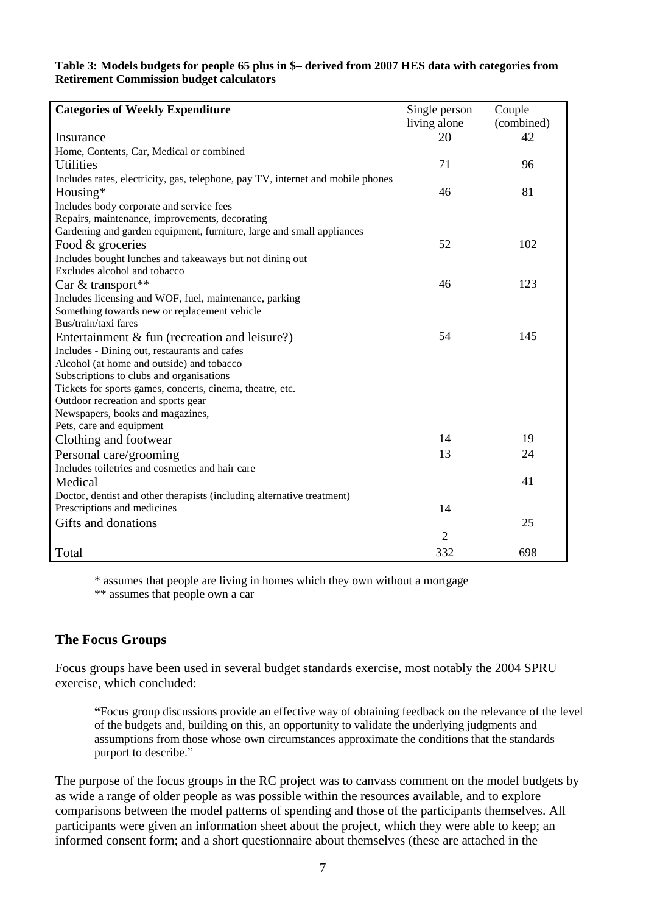#### **Table 3: Models budgets for people 65 plus in \$– derived from 2007 HES data with categories from Retirement Commission budget calculators**

| <b>Categories of Weekly Expenditure</b>                                         | Single person  | Couple     |
|---------------------------------------------------------------------------------|----------------|------------|
|                                                                                 | living alone   | (combined) |
| Insurance                                                                       | 20             | 42         |
| Home, Contents, Car, Medical or combined                                        |                |            |
| <b>Utilities</b>                                                                | 71             | 96         |
| Includes rates, electricity, gas, telephone, pay TV, internet and mobile phones |                |            |
| Housing*                                                                        | 46             | 81         |
| Includes body corporate and service fees                                        |                |            |
| Repairs, maintenance, improvements, decorating                                  |                |            |
| Gardening and garden equipment, furniture, large and small appliances           |                |            |
| Food & groceries                                                                | 52             | 102        |
| Includes bought lunches and takeaways but not dining out                        |                |            |
| Excludes alcohol and tobacco                                                    |                |            |
| Car & transport**                                                               | 46             | 123        |
| Includes licensing and WOF, fuel, maintenance, parking                          |                |            |
| Something towards new or replacement vehicle                                    |                |            |
| Bus/train/taxi fares                                                            |                |            |
| Entertainment $&$ fun (recreation and leisure?)                                 | 54             | 145        |
| Includes - Dining out, restaurants and cafes                                    |                |            |
| Alcohol (at home and outside) and tobacco                                       |                |            |
| Subscriptions to clubs and organisations                                        |                |            |
| Tickets for sports games, concerts, cinema, theatre, etc.                       |                |            |
| Outdoor recreation and sports gear                                              |                |            |
| Newspapers, books and magazines,                                                |                |            |
| Pets, care and equipment                                                        |                |            |
| Clothing and footwear                                                           | 14             | 19         |
| Personal care/grooming                                                          | 13             | 24         |
| Includes toiletries and cosmetics and hair care                                 |                |            |
| Medical                                                                         |                | 41         |
| Doctor, dentist and other therapists (including alternative treatment)          |                |            |
| Prescriptions and medicines                                                     | 14             |            |
| Gifts and donations                                                             |                | 25         |
|                                                                                 | $\overline{2}$ |            |
| Total                                                                           | 332            | 698        |

\* assumes that people are living in homes which they own without a mortgage

\*\* assumes that people own a car

## **The Focus Groups**

Focus groups have been used in several budget standards exercise, most notably the 2004 SPRU exercise, which concluded:

**"**Focus group discussions provide an effective way of obtaining feedback on the relevance of the level of the budgets and, building on this, an opportunity to validate the underlying judgments and assumptions from those whose own circumstances approximate the conditions that the standards purport to describe."

The purpose of the focus groups in the RC project was to canvass comment on the model budgets by as wide a range of older people as was possible within the resources available, and to explore comparisons between the model patterns of spending and those of the participants themselves. All participants were given an information sheet about the project, which they were able to keep; an informed consent form; and a short questionnaire about themselves (these are attached in the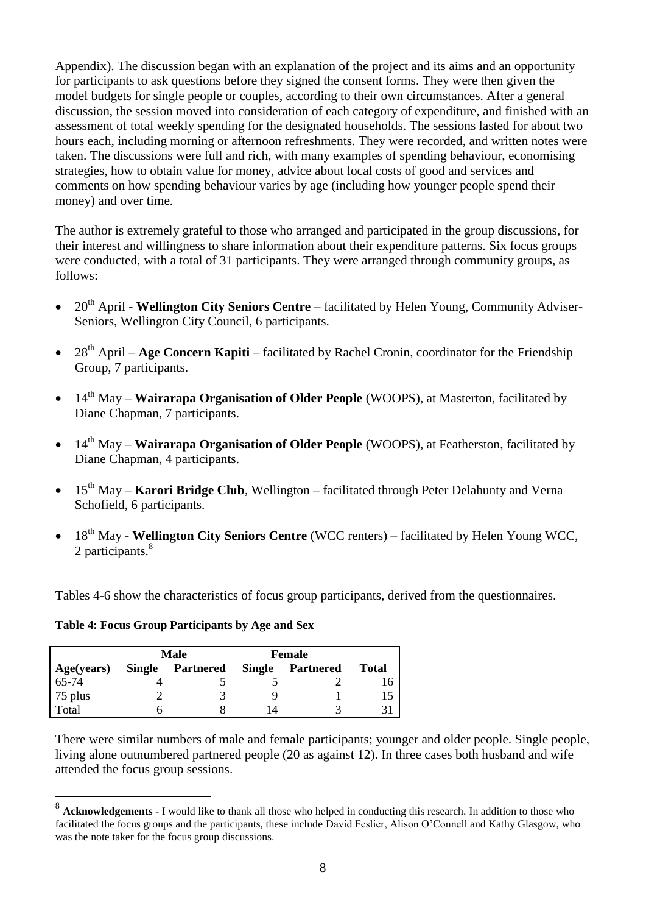Appendix). The discussion began with an explanation of the project and its aims and an opportunity for participants to ask questions before they signed the consent forms. They were then given the model budgets for single people or couples, according to their own circumstances. After a general discussion, the session moved into consideration of each category of expenditure, and finished with an assessment of total weekly spending for the designated households. The sessions lasted for about two hours each, including morning or afternoon refreshments. They were recorded, and written notes were taken. The discussions were full and rich, with many examples of spending behaviour, economising strategies, how to obtain value for money, advice about local costs of good and services and comments on how spending behaviour varies by age (including how younger people spend their money) and over time.

The author is extremely grateful to those who arranged and participated in the group discussions, for their interest and willingness to share information about their expenditure patterns. Six focus groups were conducted, with a total of 31 participants. They were arranged through community groups, as follows:

- <sup>•</sup> 20<sup>th</sup> April **Wellington City Seniors Centre** facilitated by Helen Young, Community Adviser-Seniors, Wellington City Council, 6 participants.
- 28<sup>th</sup> April **Age Concern Kapiti** facilitated by Rachel Cronin, coordinator for the Friendship Group, 7 participants.
- 14<sup>th</sup> May **Wairarapa Organisation of Older People** (WOOPS), at Masterton, facilitated by Diane Chapman, 7 participants.
- 14<sup>th</sup> May **Wairarapa Organisation of Older People** (WOOPS), at Featherston, facilitated by Diane Chapman, 4 participants.
- 15<sup>th</sup> May **Karori Bridge Club**, Wellington facilitated through Peter Delahunty and Verna Schofield, 6 participants.
- 18th May **Wellington City Seniors Centre** (WCC renters) facilitated by Helen Young WCC, 2 participants.<sup>8</sup>

Tables 4-6 show the characteristics of focus group participants, derived from the questionnaires.

**Table 4: Focus Group Participants by Age and Sex**

<u>.</u>

|            | Male   |           | Female        |           |              |
|------------|--------|-----------|---------------|-----------|--------------|
| Age(years) | Single | Partnered | <b>Single</b> | Partnered | <b>Total</b> |
| $65-74$    |        |           |               |           | 16           |
| 75 plus    |        |           |               |           |              |
| Total      |        |           |               |           |              |

There were similar numbers of male and female participants; younger and older people. Single people, living alone outnumbered partnered people (20 as against 12). In three cases both husband and wife attended the focus group sessions.

<sup>&</sup>lt;sup>8</sup> Acknowledgements - I would like to thank all those who helped in conducting this research. In addition to those who facilitated the focus groups and the participants, these include David Feslier, Alison O'Connell and Kathy Glasgow, who was the note taker for the focus group discussions.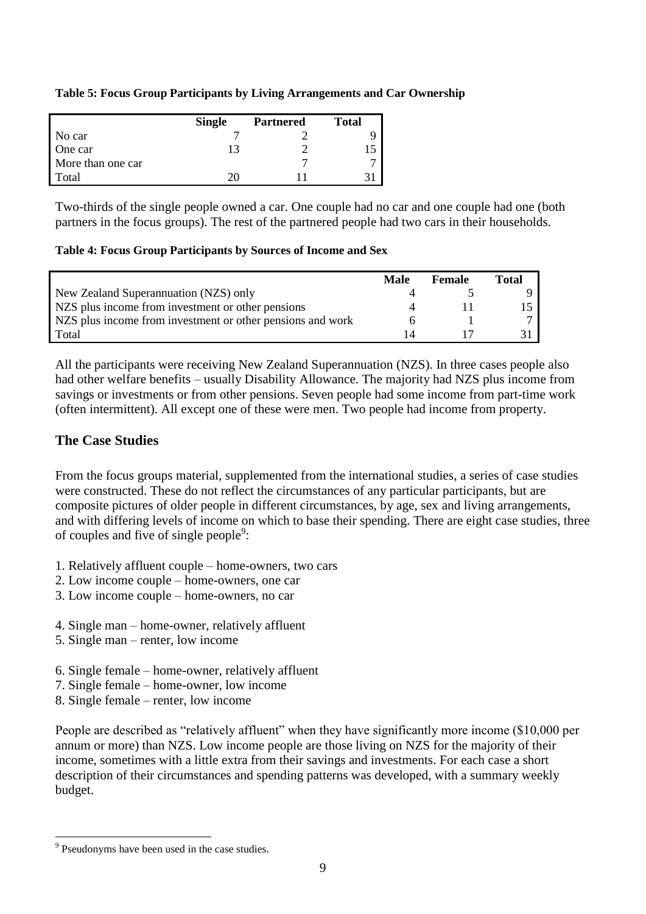#### **Table 5: Focus Group Participants by Living Arrangements and Car Ownership**

|                   | <b>Single</b> | <b>Partnered</b> | <b>Total</b> |
|-------------------|---------------|------------------|--------------|
| No car            |               |                  |              |
| One car           |               |                  |              |
| More than one car |               |                  |              |
| Total             |               |                  |              |

Two-thirds of the single people owned a car. One couple had no car and one couple had one (both partners in the focus groups). The rest of the partnered people had two cars in their households.

#### **Table 4: Focus Group Participants by Sources of Income and Sex**

|                                                            | Male | <b>Female</b> | Total |
|------------------------------------------------------------|------|---------------|-------|
| New Zealand Superannuation (NZS) only                      |      |               |       |
| NZS plus income from investment or other pensions          |      |               |       |
| NZS plus income from investment or other pensions and work |      |               |       |
| Total                                                      |      |               |       |

All the participants were receiving New Zealand Superannuation (NZS). In three cases people also had other welfare benefits – usually Disability Allowance. The majority had NZS plus income from savings or investments or from other pensions. Seven people had some income from part-time work (often intermittent). All except one of these were men. Two people had income from property.

## **The Case Studies**

From the focus groups material, supplemented from the international studies, a series of case studies were constructed. These do not reflect the circumstances of any particular participants, but are composite pictures of older people in different circumstances, by age, sex and living arrangements, and with differing levels of income on which to base their spending. There are eight case studies, three of couples and five of single people<sup>9</sup>:

- 1. Relatively affluent couple home-owners, two cars
- 2. Low income couple home-owners, one car
- 3. Low income couple home-owners, no car
- 4. Single man home-owner, relatively affluent
- 5. Single man renter, low income
- 6. Single female home-owner, relatively affluent
- 7. Single female home-owner, low income
- 8. Single female renter, low income

People are described as "relatively affluent" when they have significantly more income (\$10,000 per annum or more) than NZS. Low income people are those living on NZS for the majority of their income, sometimes with a little extra from their savings and investments. For each case a short description of their circumstances and spending patterns was developed, with a summary weekly budget.

<u>.</u>

<sup>&</sup>lt;sup>9</sup> Pseudonyms have been used in the case studies.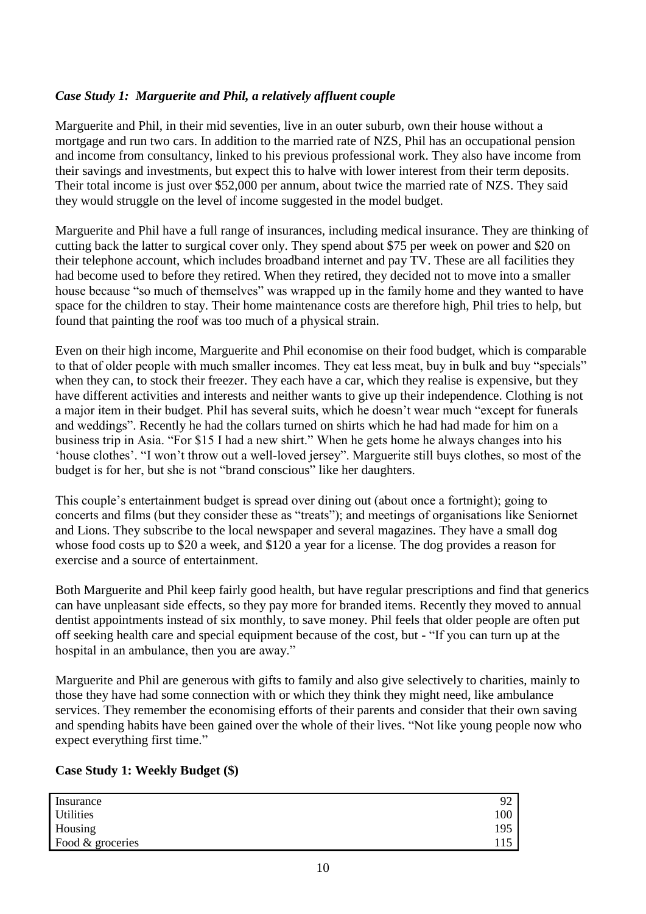## *Case Study 1: Marguerite and Phil, a relatively affluent couple*

Marguerite and Phil, in their mid seventies, live in an outer suburb, own their house without a mortgage and run two cars. In addition to the married rate of NZS, Phil has an occupational pension and income from consultancy, linked to his previous professional work. They also have income from their savings and investments, but expect this to halve with lower interest from their term deposits. Their total income is just over \$52,000 per annum, about twice the married rate of NZS. They said they would struggle on the level of income suggested in the model budget.

Marguerite and Phil have a full range of insurances, including medical insurance. They are thinking of cutting back the latter to surgical cover only. They spend about \$75 per week on power and \$20 on their telephone account, which includes broadband internet and pay TV. These are all facilities they had become used to before they retired. When they retired, they decided not to move into a smaller house because "so much of themselves" was wrapped up in the family home and they wanted to have space for the children to stay. Their home maintenance costs are therefore high, Phil tries to help, but found that painting the roof was too much of a physical strain.

Even on their high income, Marguerite and Phil economise on their food budget, which is comparable to that of older people with much smaller incomes. They eat less meat, buy in bulk and buy "specials" when they can, to stock their freezer. They each have a car, which they realise is expensive, but they have different activities and interests and neither wants to give up their independence. Clothing is not a major item in their budget. Phil has several suits, which he doesn't wear much "except for funerals and weddings". Recently he had the collars turned on shirts which he had had made for him on a business trip in Asia. "For \$15 I had a new shirt." When he gets home he always changes into his 'house clothes'. "I won't throw out a well-loved jersey". Marguerite still buys clothes, so most of the budget is for her, but she is not "brand conscious" like her daughters.

This couple's entertainment budget is spread over dining out (about once a fortnight); going to concerts and films (but they consider these as "treats"); and meetings of organisations like Seniornet and Lions. They subscribe to the local newspaper and several magazines. They have a small dog whose food costs up to \$20 a week, and \$120 a year for a license. The dog provides a reason for exercise and a source of entertainment.

Both Marguerite and Phil keep fairly good health, but have regular prescriptions and find that generics can have unpleasant side effects, so they pay more for branded items. Recently they moved to annual dentist appointments instead of six monthly, to save money. Phil feels that older people are often put off seeking health care and special equipment because of the cost, but - "If you can turn up at the hospital in an ambulance, then you are away."

Marguerite and Phil are generous with gifts to family and also give selectively to charities, mainly to those they have had some connection with or which they think they might need, like ambulance services. They remember the economising efforts of their parents and consider that their own saving and spending habits have been gained over the whole of their lives. "Not like young people now who expect everything first time."

#### **Case Study 1: Weekly Budget (\$)**

| Insurance        | $\Omega$ |
|------------------|----------|
| Utilities        | 100      |
| Housing          | 195      |
| Food & groceries | . 15     |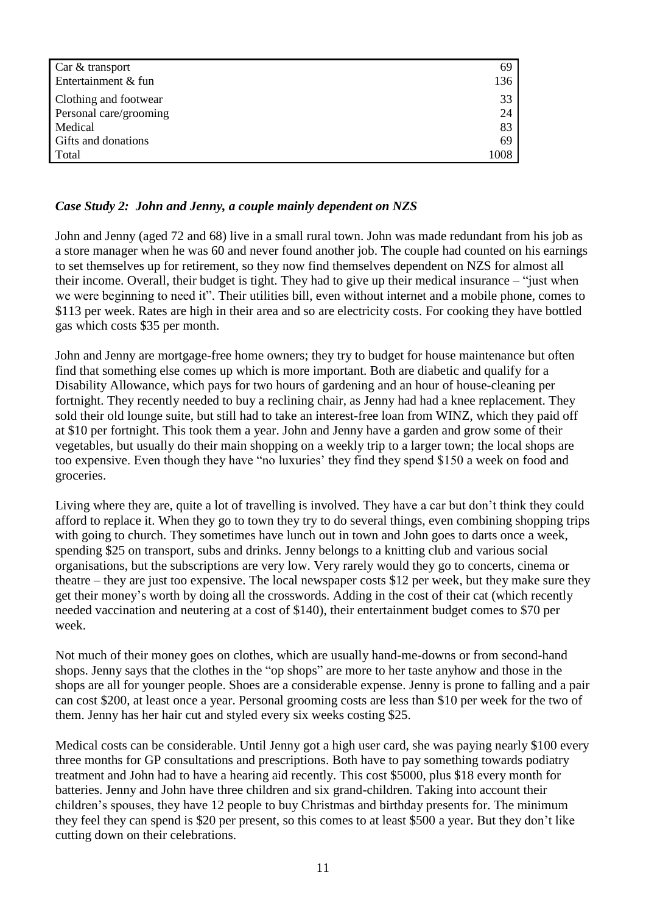| Car & transport        | 69   |
|------------------------|------|
| Entertainment & fun    | 136  |
| Clothing and footwear  | 33   |
| Personal care/grooming | 24   |
| Medical                | 83   |
| Gifts and donations    | 69   |
| Total                  | 1008 |

#### *Case Study 2: John and Jenny, a couple mainly dependent on NZS*

John and Jenny (aged 72 and 68) live in a small rural town. John was made redundant from his job as a store manager when he was 60 and never found another job. The couple had counted on his earnings to set themselves up for retirement, so they now find themselves dependent on NZS for almost all their income. Overall, their budget is tight. They had to give up their medical insurance – "just when we were beginning to need it". Their utilities bill, even without internet and a mobile phone, comes to \$113 per week. Rates are high in their area and so are electricity costs. For cooking they have bottled gas which costs \$35 per month.

John and Jenny are mortgage-free home owners; they try to budget for house maintenance but often find that something else comes up which is more important. Both are diabetic and qualify for a Disability Allowance, which pays for two hours of gardening and an hour of house-cleaning per fortnight. They recently needed to buy a reclining chair, as Jenny had had a knee replacement. They sold their old lounge suite, but still had to take an interest-free loan from WINZ, which they paid off at \$10 per fortnight. This took them a year. John and Jenny have a garden and grow some of their vegetables, but usually do their main shopping on a weekly trip to a larger town; the local shops are too expensive. Even though they have "no luxuries' they find they spend \$150 a week on food and groceries.

Living where they are, quite a lot of travelling is involved. They have a car but don't think they could afford to replace it. When they go to town they try to do several things, even combining shopping trips with going to church. They sometimes have lunch out in town and John goes to darts once a week, spending \$25 on transport, subs and drinks. Jenny belongs to a knitting club and various social organisations, but the subscriptions are very low. Very rarely would they go to concerts, cinema or theatre – they are just too expensive. The local newspaper costs \$12 per week, but they make sure they get their money's worth by doing all the crosswords. Adding in the cost of their cat (which recently needed vaccination and neutering at a cost of \$140), their entertainment budget comes to \$70 per week.

Not much of their money goes on clothes, which are usually hand-me-downs or from second-hand shops. Jenny says that the clothes in the "op shops" are more to her taste anyhow and those in the shops are all for younger people. Shoes are a considerable expense. Jenny is prone to falling and a pair can cost \$200, at least once a year. Personal grooming costs are less than \$10 per week for the two of them. Jenny has her hair cut and styled every six weeks costing \$25.

Medical costs can be considerable. Until Jenny got a high user card, she was paying nearly \$100 every three months for GP consultations and prescriptions. Both have to pay something towards podiatry treatment and John had to have a hearing aid recently. This cost \$5000, plus \$18 every month for batteries. Jenny and John have three children and six grand-children. Taking into account their children's spouses, they have 12 people to buy Christmas and birthday presents for. The minimum they feel they can spend is \$20 per present, so this comes to at least \$500 a year. But they don't like cutting down on their celebrations.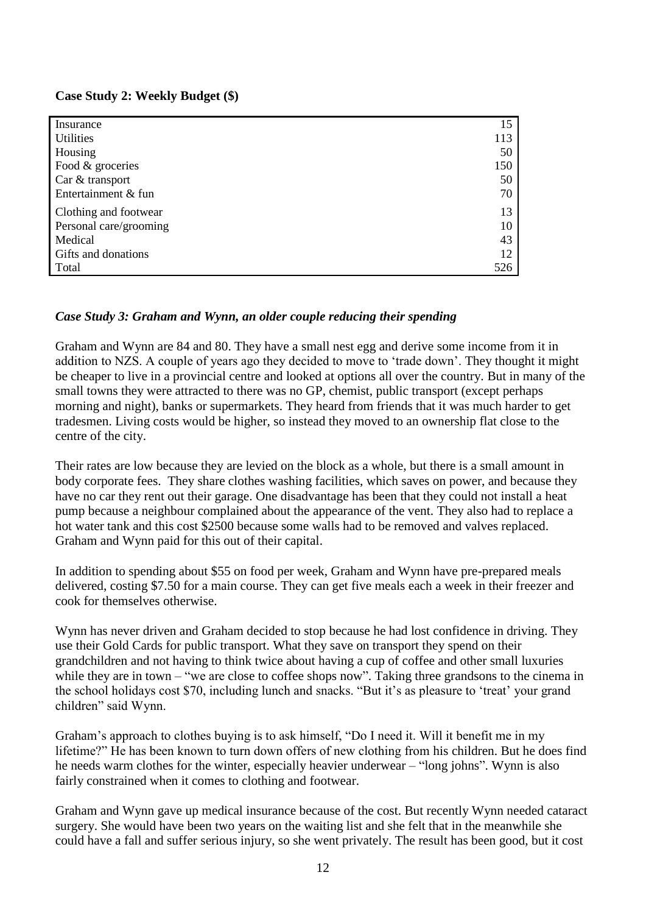#### **Case Study 2: Weekly Budget (\$)**

| Insurance              | 15  |
|------------------------|-----|
| <b>Utilities</b>       | 113 |
| Housing                | 50  |
| Food & groceries       | 150 |
| Car & transport        | 50  |
| Entertainment & fun    | 70  |
| Clothing and footwear  | 13  |
| Personal care/grooming | 10  |
| Medical                | 43  |
| Gifts and donations    | 12  |
| Total                  | 526 |

#### *Case Study 3: Graham and Wynn, an older couple reducing their spending*

Graham and Wynn are 84 and 80. They have a small nest egg and derive some income from it in addition to NZS. A couple of years ago they decided to move to 'trade down'. They thought it might be cheaper to live in a provincial centre and looked at options all over the country. But in many of the small towns they were attracted to there was no GP, chemist, public transport (except perhaps morning and night), banks or supermarkets. They heard from friends that it was much harder to get tradesmen. Living costs would be higher, so instead they moved to an ownership flat close to the centre of the city.

Their rates are low because they are levied on the block as a whole, but there is a small amount in body corporate fees. They share clothes washing facilities, which saves on power, and because they have no car they rent out their garage. One disadvantage has been that they could not install a heat pump because a neighbour complained about the appearance of the vent. They also had to replace a hot water tank and this cost \$2500 because some walls had to be removed and valves replaced. Graham and Wynn paid for this out of their capital.

In addition to spending about \$55 on food per week, Graham and Wynn have pre-prepared meals delivered, costing \$7.50 for a main course. They can get five meals each a week in their freezer and cook for themselves otherwise.

Wynn has never driven and Graham decided to stop because he had lost confidence in driving. They use their Gold Cards for public transport. What they save on transport they spend on their grandchildren and not having to think twice about having a cup of coffee and other small luxuries while they are in town – "we are close to coffee shops now". Taking three grandsons to the cinema in the school holidays cost \$70, including lunch and snacks. "But it's as pleasure to 'treat' your grand children" said Wynn.

Graham's approach to clothes buying is to ask himself, "Do I need it. Will it benefit me in my lifetime?" He has been known to turn down offers of new clothing from his children. But he does find he needs warm clothes for the winter, especially heavier underwear – "long johns". Wynn is also fairly constrained when it comes to clothing and footwear.

Graham and Wynn gave up medical insurance because of the cost. But recently Wynn needed cataract surgery. She would have been two years on the waiting list and she felt that in the meanwhile she could have a fall and suffer serious injury, so she went privately. The result has been good, but it cost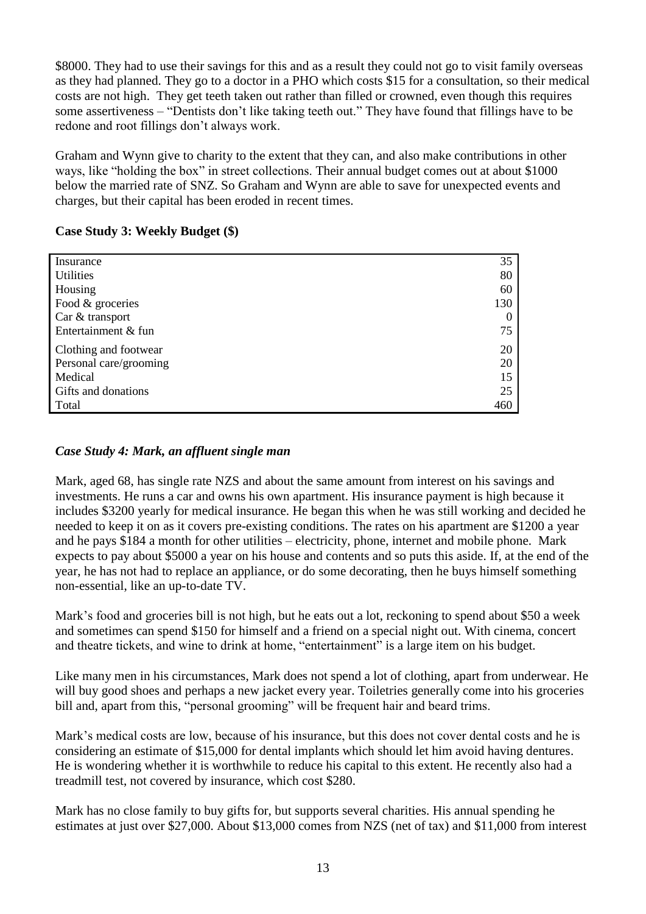\$8000. They had to use their savings for this and as a result they could not go to visit family overseas as they had planned. They go to a doctor in a PHO which costs \$15 for a consultation, so their medical costs are not high. They get teeth taken out rather than filled or crowned, even though this requires some assertiveness – "Dentists don't like taking teeth out." They have found that fillings have to be redone and root fillings don't always work.

Graham and Wynn give to charity to the extent that they can, and also make contributions in other ways, like "holding the box" in street collections. Their annual budget comes out at about \$1000 below the married rate of SNZ. So Graham and Wynn are able to save for unexpected events and charges, but their capital has been eroded in recent times.

#### **Case Study 3: Weekly Budget (\$)**

| Insurance              | 35       |
|------------------------|----------|
| <b>Utilities</b>       | 80       |
| Housing                | 60       |
| Food & groceries       | 130      |
| Car & transport        | $\theta$ |
| Entertainment & fun    | 75       |
| Clothing and footwear  | 20       |
| Personal care/grooming | 20       |
| Medical                | 15       |
| Gifts and donations    | 25       |
| Total                  | 460      |

## *Case Study 4: Mark, an affluent single man*

Mark, aged 68, has single rate NZS and about the same amount from interest on his savings and investments. He runs a car and owns his own apartment. His insurance payment is high because it includes \$3200 yearly for medical insurance. He began this when he was still working and decided he needed to keep it on as it covers pre-existing conditions. The rates on his apartment are \$1200 a year and he pays \$184 a month for other utilities – electricity, phone, internet and mobile phone. Mark expects to pay about \$5000 a year on his house and contents and so puts this aside. If, at the end of the year, he has not had to replace an appliance, or do some decorating, then he buys himself something non-essential, like an up-to-date TV.

Mark's food and groceries bill is not high, but he eats out a lot, reckoning to spend about \$50 a week and sometimes can spend \$150 for himself and a friend on a special night out. With cinema, concert and theatre tickets, and wine to drink at home, "entertainment" is a large item on his budget.

Like many men in his circumstances, Mark does not spend a lot of clothing, apart from underwear. He will buy good shoes and perhaps a new jacket every year. Toiletries generally come into his groceries bill and, apart from this, "personal grooming" will be frequent hair and beard trims.

Mark's medical costs are low, because of his insurance, but this does not cover dental costs and he is considering an estimate of \$15,000 for dental implants which should let him avoid having dentures. He is wondering whether it is worthwhile to reduce his capital to this extent. He recently also had a treadmill test, not covered by insurance, which cost \$280.

Mark has no close family to buy gifts for, but supports several charities. His annual spending he estimates at just over \$27,000. About \$13,000 comes from NZS (net of tax) and \$11,000 from interest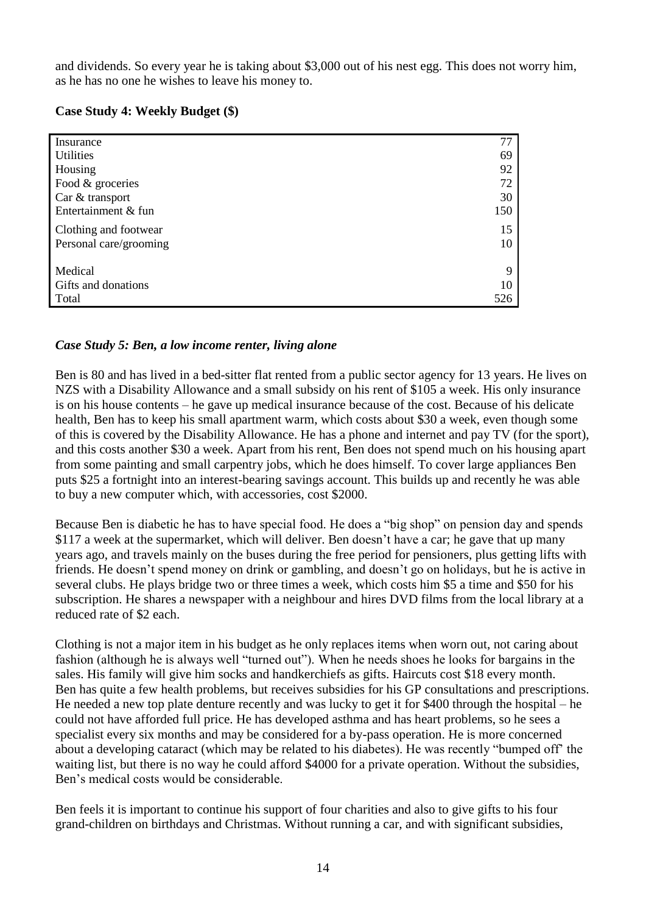and dividends. So every year he is taking about \$3,000 out of his nest egg. This does not worry him, as he has no one he wishes to leave his money to.

| Case Study 4: Weekly Budget (\$) |  |  |  |  |  |  |
|----------------------------------|--|--|--|--|--|--|
|----------------------------------|--|--|--|--|--|--|

| Insurance              | 77  |
|------------------------|-----|
| <b>Utilities</b>       | 69  |
| Housing                | 92  |
| Food & groceries       | 72  |
| Car & transport        | 30  |
| Entertainment & fun    | 150 |
| Clothing and footwear  | 15  |
| Personal care/grooming | 10  |
|                        |     |
| Medical                | 9   |
| Gifts and donations    | 10  |
| Total                  | 526 |

#### *Case Study 5: Ben, a low income renter, living alone*

Ben is 80 and has lived in a bed-sitter flat rented from a public sector agency for 13 years. He lives on NZS with a Disability Allowance and a small subsidy on his rent of \$105 a week. His only insurance is on his house contents – he gave up medical insurance because of the cost. Because of his delicate health, Ben has to keep his small apartment warm, which costs about \$30 a week, even though some of this is covered by the Disability Allowance. He has a phone and internet and pay TV (for the sport), and this costs another \$30 a week. Apart from his rent, Ben does not spend much on his housing apart from some painting and small carpentry jobs, which he does himself. To cover large appliances Ben puts \$25 a fortnight into an interest-bearing savings account. This builds up and recently he was able to buy a new computer which, with accessories, cost \$2000.

Because Ben is diabetic he has to have special food. He does a "big shop" on pension day and spends \$117 a week at the supermarket, which will deliver. Ben doesn't have a car; he gave that up many years ago, and travels mainly on the buses during the free period for pensioners, plus getting lifts with friends. He doesn't spend money on drink or gambling, and doesn't go on holidays, but he is active in several clubs. He plays bridge two or three times a week, which costs him \$5 a time and \$50 for his subscription. He shares a newspaper with a neighbour and hires DVD films from the local library at a reduced rate of \$2 each.

Clothing is not a major item in his budget as he only replaces items when worn out, not caring about fashion (although he is always well "turned out"). When he needs shoes he looks for bargains in the sales. His family will give him socks and handkerchiefs as gifts. Haircuts cost \$18 every month. Ben has quite a few health problems, but receives subsidies for his GP consultations and prescriptions. He needed a new top plate denture recently and was lucky to get it for \$400 through the hospital – he could not have afforded full price. He has developed asthma and has heart problems, so he sees a specialist every six months and may be considered for a by-pass operation. He is more concerned about a developing cataract (which may be related to his diabetes). He was recently "bumped off' the waiting list, but there is no way he could afford \$4000 for a private operation. Without the subsidies, Ben's medical costs would be considerable.

Ben feels it is important to continue his support of four charities and also to give gifts to his four grand-children on birthdays and Christmas. Without running a car, and with significant subsidies,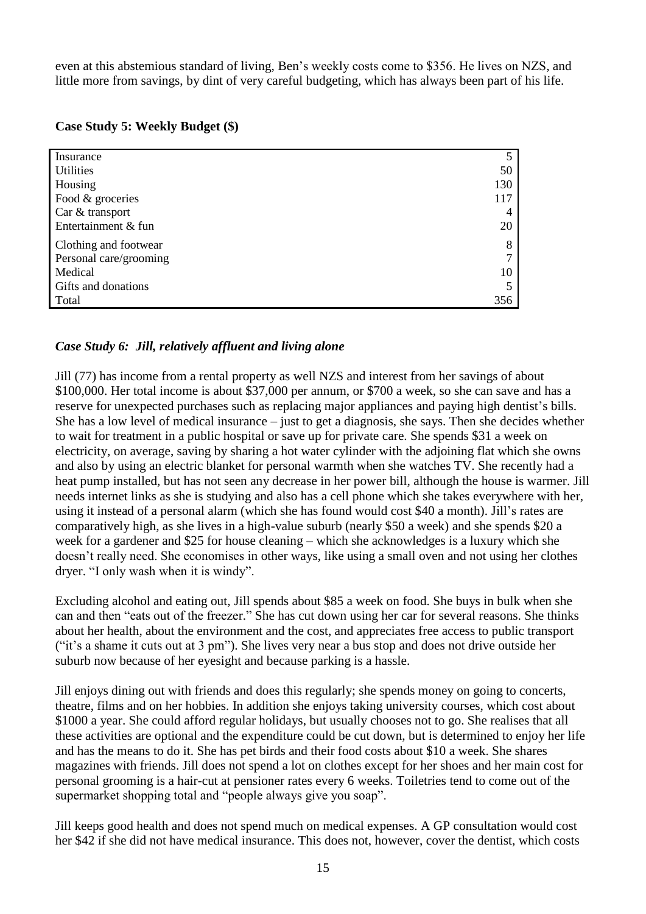even at this abstemious standard of living, Ben's weekly costs come to \$356. He lives on NZS, and little more from savings, by dint of very careful budgeting, which has always been part of his life.

|  |  |  |  | Case Study 5: Weekly Budget (\$) |  |
|--|--|--|--|----------------------------------|--|
|--|--|--|--|----------------------------------|--|

| Insurance              |     |
|------------------------|-----|
| <b>Utilities</b>       | 50  |
| Housing                | 130 |
| Food & groceries       | 117 |
| Car & transport        |     |
| Entertainment & fun    | 20  |
| Clothing and footwear  | 8   |
| Personal care/grooming |     |
| Medical                | 10  |
| Gifts and donations    |     |
| Total                  | 356 |

## *Case Study 6: Jill, relatively affluent and living alone*

Jill (77) has income from a rental property as well NZS and interest from her savings of about \$100,000. Her total income is about \$37,000 per annum, or \$700 a week, so she can save and has a reserve for unexpected purchases such as replacing major appliances and paying high dentist's bills. She has a low level of medical insurance – just to get a diagnosis, she says. Then she decides whether to wait for treatment in a public hospital or save up for private care. She spends \$31 a week on electricity, on average, saving by sharing a hot water cylinder with the adjoining flat which she owns and also by using an electric blanket for personal warmth when she watches TV. She recently had a heat pump installed, but has not seen any decrease in her power bill, although the house is warmer. Jill needs internet links as she is studying and also has a cell phone which she takes everywhere with her, using it instead of a personal alarm (which she has found would cost \$40 a month). Jill's rates are comparatively high, as she lives in a high-value suburb (nearly \$50 a week) and she spends \$20 a week for a gardener and \$25 for house cleaning – which she acknowledges is a luxury which she doesn't really need. She economises in other ways, like using a small oven and not using her clothes dryer. "I only wash when it is windy".

Excluding alcohol and eating out, Jill spends about \$85 a week on food. She buys in bulk when she can and then "eats out of the freezer." She has cut down using her car for several reasons. She thinks about her health, about the environment and the cost, and appreciates free access to public transport ("it's a shame it cuts out at 3 pm"). She lives very near a bus stop and does not drive outside her suburb now because of her eyesight and because parking is a hassle.

Jill enjoys dining out with friends and does this regularly; she spends money on going to concerts, theatre, films and on her hobbies. In addition she enjoys taking university courses, which cost about \$1000 a year. She could afford regular holidays, but usually chooses not to go. She realises that all these activities are optional and the expenditure could be cut down, but is determined to enjoy her life and has the means to do it. She has pet birds and their food costs about \$10 a week. She shares magazines with friends. Jill does not spend a lot on clothes except for her shoes and her main cost for personal grooming is a hair-cut at pensioner rates every 6 weeks. Toiletries tend to come out of the supermarket shopping total and "people always give you soap".

Jill keeps good health and does not spend much on medical expenses. A GP consultation would cost her \$42 if she did not have medical insurance. This does not, however, cover the dentist, which costs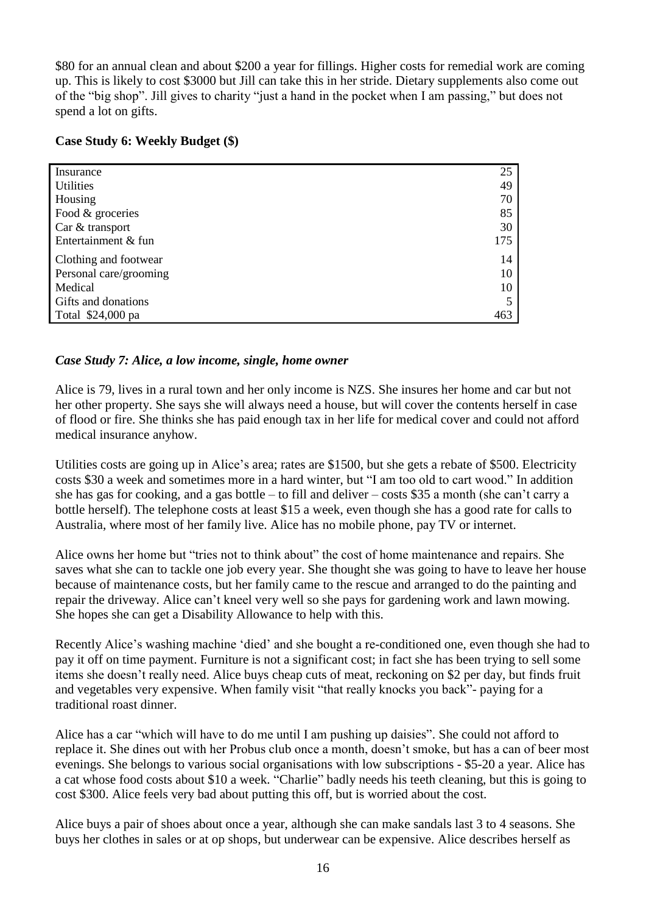\$80 for an annual clean and about \$200 a year for fillings. Higher costs for remedial work are coming up. This is likely to cost \$3000 but Jill can take this in her stride. Dietary supplements also come out of the "big shop". Jill gives to charity "just a hand in the pocket when I am passing," but does not spend a lot on gifts.

#### **Case Study 6: Weekly Budget (\$)**

| Insurance              | 25  |
|------------------------|-----|
| <b>Utilities</b>       | 49  |
| Housing                | 70  |
| Food & groceries       | 85  |
| Car & transport        | 30  |
| Entertainment & fun    | 175 |
| Clothing and footwear  | 14  |
| Personal care/grooming | 10  |
| Medical                | 10  |
| Gifts and donations    |     |
| Total \$24,000 pa      | 463 |

#### *Case Study 7: Alice, a low income, single, home owner*

Alice is 79, lives in a rural town and her only income is NZS. She insures her home and car but not her other property. She says she will always need a house, but will cover the contents herself in case of flood or fire. She thinks she has paid enough tax in her life for medical cover and could not afford medical insurance anyhow.

Utilities costs are going up in Alice's area; rates are \$1500, but she gets a rebate of \$500. Electricity costs \$30 a week and sometimes more in a hard winter, but "I am too old to cart wood." In addition she has gas for cooking, and a gas bottle – to fill and deliver – costs \$35 a month (she can't carry a bottle herself). The telephone costs at least \$15 a week, even though she has a good rate for calls to Australia, where most of her family live. Alice has no mobile phone, pay TV or internet.

Alice owns her home but "tries not to think about" the cost of home maintenance and repairs. She saves what she can to tackle one job every year. She thought she was going to have to leave her house because of maintenance costs, but her family came to the rescue and arranged to do the painting and repair the driveway. Alice can't kneel very well so she pays for gardening work and lawn mowing. She hopes she can get a Disability Allowance to help with this.

Recently Alice's washing machine 'died' and she bought a re-conditioned one, even though she had to pay it off on time payment. Furniture is not a significant cost; in fact she has been trying to sell some items she doesn't really need. Alice buys cheap cuts of meat, reckoning on \$2 per day, but finds fruit and vegetables very expensive. When family visit "that really knocks you back"- paying for a traditional roast dinner.

Alice has a car "which will have to do me until I am pushing up daisies". She could not afford to replace it. She dines out with her Probus club once a month, doesn't smoke, but has a can of beer most evenings. She belongs to various social organisations with low subscriptions - \$5-20 a year. Alice has a cat whose food costs about \$10 a week. "Charlie" badly needs his teeth cleaning, but this is going to cost \$300. Alice feels very bad about putting this off, but is worried about the cost.

Alice buys a pair of shoes about once a year, although she can make sandals last 3 to 4 seasons. She buys her clothes in sales or at op shops, but underwear can be expensive. Alice describes herself as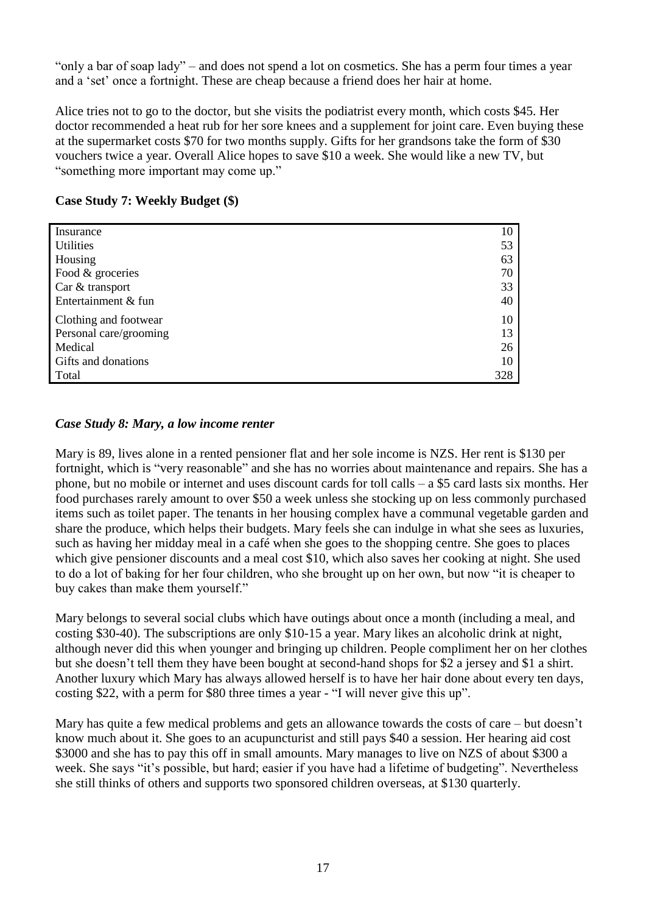"only a bar of soap lady" – and does not spend a lot on cosmetics. She has a perm four times a year and a 'set' once a fortnight. These are cheap because a friend does her hair at home.

Alice tries not to go to the doctor, but she visits the podiatrist every month, which costs \$45. Her doctor recommended a heat rub for her sore knees and a supplement for joint care. Even buying these at the supermarket costs \$70 for two months supply. Gifts for her grandsons take the form of \$30 vouchers twice a year. Overall Alice hopes to save \$10 a week. She would like a new TV, but "something more important may come up."

| Insurance              | 10  |
|------------------------|-----|
| <b>Utilities</b>       | 53  |
| Housing                | 63  |
| Food & groceries       | 70  |
| Car & transport        | 33  |
| Entertainment & fun    | 40  |
| Clothing and footwear  | 10  |
| Personal care/grooming | 13  |
| Medical                | 26  |
| Gifts and donations    | 10  |
| Total                  | 328 |

#### **Case Study 7: Weekly Budget (\$)**

#### *Case Study 8: Mary, a low income renter*

Mary is 89, lives alone in a rented pensioner flat and her sole income is NZS. Her rent is \$130 per fortnight, which is "very reasonable" and she has no worries about maintenance and repairs. She has a phone, but no mobile or internet and uses discount cards for toll calls – a \$5 card lasts six months. Her food purchases rarely amount to over \$50 a week unless she stocking up on less commonly purchased items such as toilet paper. The tenants in her housing complex have a communal vegetable garden and share the produce, which helps their budgets. Mary feels she can indulge in what she sees as luxuries, such as having her midday meal in a café when she goes to the shopping centre. She goes to places which give pensioner discounts and a meal cost \$10, which also saves her cooking at night. She used to do a lot of baking for her four children, who she brought up on her own, but now "it is cheaper to buy cakes than make them yourself."

Mary belongs to several social clubs which have outings about once a month (including a meal, and costing \$30-40). The subscriptions are only \$10-15 a year. Mary likes an alcoholic drink at night, although never did this when younger and bringing up children. People compliment her on her clothes but she doesn't tell them they have been bought at second-hand shops for \$2 a jersey and \$1 a shirt. Another luxury which Mary has always allowed herself is to have her hair done about every ten days, costing \$22, with a perm for \$80 three times a year - "I will never give this up".

Mary has quite a few medical problems and gets an allowance towards the costs of care – but doesn't know much about it. She goes to an acupuncturist and still pays \$40 a session. Her hearing aid cost \$3000 and she has to pay this off in small amounts. Mary manages to live on NZS of about \$300 a week. She says "it's possible, but hard; easier if you have had a lifetime of budgeting". Nevertheless she still thinks of others and supports two sponsored children overseas, at \$130 quarterly.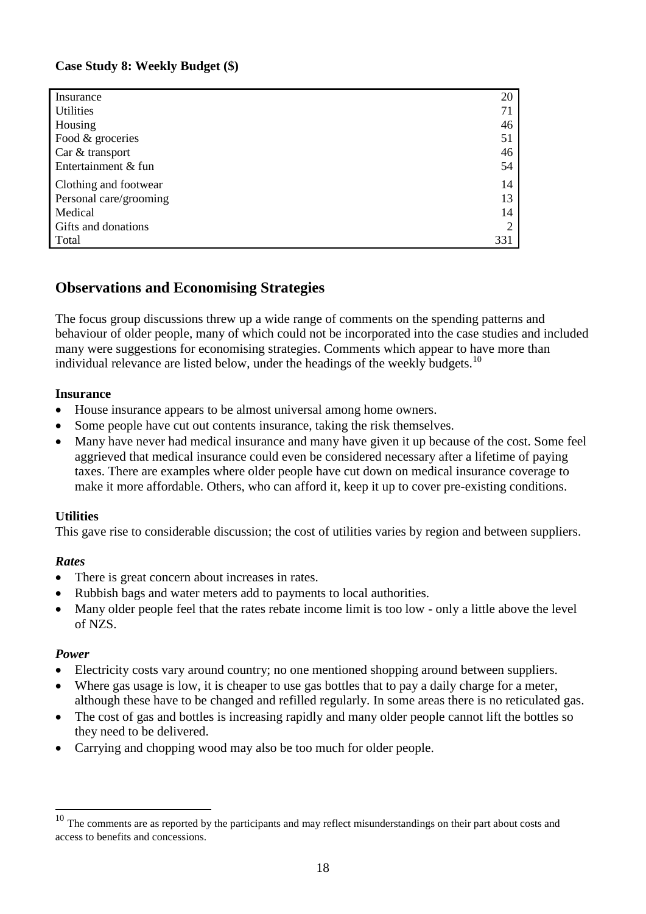#### **Case Study 8: Weekly Budget (\$)**

| Insurance              | 20             |
|------------------------|----------------|
| <b>Utilities</b>       | 71             |
| Housing                | 46             |
| Food & groceries       | 51             |
| Car & transport        | 46             |
| Entertainment & fun    | 54             |
| Clothing and footwear  | 14             |
| Personal care/grooming | 13             |
| Medical                | 14             |
| Gifts and donations    | $\overline{2}$ |
| Total                  | 331            |

## **Observations and Economising Strategies**

The focus group discussions threw up a wide range of comments on the spending patterns and behaviour of older people, many of which could not be incorporated into the case studies and included many were suggestions for economising strategies. Comments which appear to have more than individual relevance are listed below, under the headings of the weekly budgets.<sup>10</sup>

#### **Insurance**

- House insurance appears to be almost universal among home owners.
- Some people have cut out contents insurance, taking the risk themselves.
- Many have never had medical insurance and many have given it up because of the cost. Some feel aggrieved that medical insurance could even be considered necessary after a lifetime of paying taxes. There are examples where older people have cut down on medical insurance coverage to make it more affordable. Others, who can afford it, keep it up to cover pre-existing conditions.

#### **Utilities**

This gave rise to considerable discussion; the cost of utilities varies by region and between suppliers.

#### *Rates*

- There is great concern about increases in rates.
- Rubbish bags and water meters add to payments to local authorities.
- Many older people feel that the rates rebate income limit is too low only a little above the level of NZS.

#### *Power*

1

- Electricity costs vary around country; no one mentioned shopping around between suppliers.
- Where gas usage is low, it is cheaper to use gas bottles that to pay a daily charge for a meter, although these have to be changed and refilled regularly. In some areas there is no reticulated gas.
- The cost of gas and bottles is increasing rapidly and many older people cannot lift the bottles so they need to be delivered.
- Carrying and chopping wood may also be too much for older people.

The comments are as reported by the participants and may reflect misunderstandings on their part about costs and access to benefits and concessions.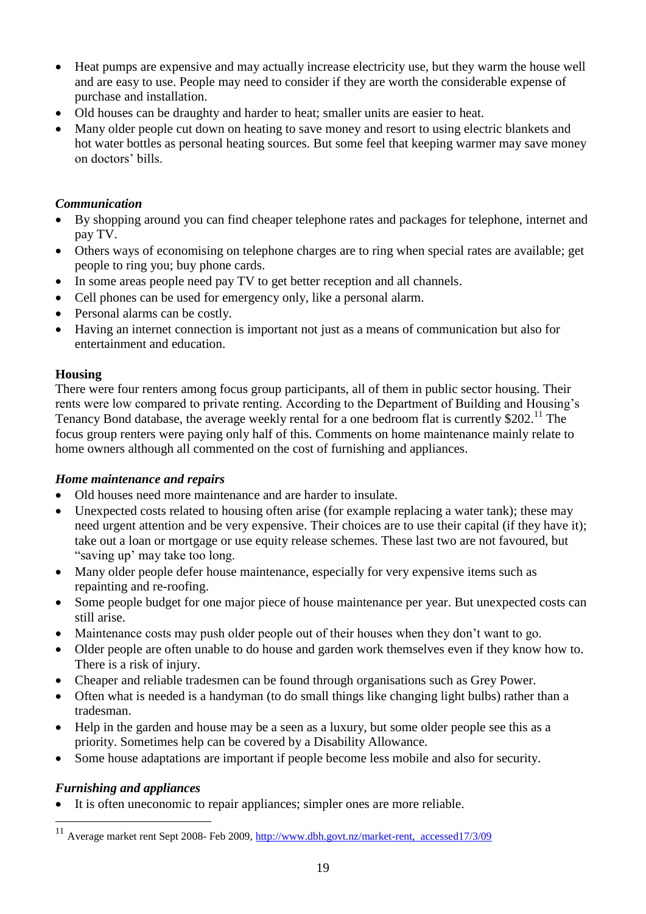- Heat pumps are expensive and may actually increase electricity use, but they warm the house well and are easy to use. People may need to consider if they are worth the considerable expense of purchase and installation.
- Old houses can be draughty and harder to heat; smaller units are easier to heat.
- Many older people cut down on heating to save money and resort to using electric blankets and hot water bottles as personal heating sources. But some feel that keeping warmer may save money on doctors' bills.

#### *Communication*

- By shopping around you can find cheaper telephone rates and packages for telephone, internet and pay TV.
- Others ways of economising on telephone charges are to ring when special rates are available; get people to ring you; buy phone cards.
- In some areas people need pay TV to get better reception and all channels.
- Cell phones can be used for emergency only, like a personal alarm.
- Personal alarms can be costly.
- Having an internet connection is important not just as a means of communication but also for entertainment and education.

#### **Housing**

There were four renters among focus group participants, all of them in public sector housing. Their rents were low compared to private renting. According to the Department of Building and Housing's Tenancy Bond database, the average weekly rental for a one bedroom flat is currently \$202.<sup>11</sup> The focus group renters were paying only half of this. Comments on home maintenance mainly relate to home owners although all commented on the cost of furnishing and appliances.

#### *Home maintenance and repairs*

- Old houses need more maintenance and are harder to insulate.
- Unexpected costs related to housing often arise (for example replacing a water tank); these may need urgent attention and be very expensive. Their choices are to use their capital (if they have it); take out a loan or mortgage or use equity release schemes. These last two are not favoured, but "saving up' may take too long.
- Many older people defer house maintenance, especially for very expensive items such as repainting and re-roofing.
- Some people budget for one major piece of house maintenance per year. But unexpected costs can still arise.
- Maintenance costs may push older people out of their houses when they don't want to go.
- Older people are often unable to do house and garden work themselves even if they know how to. There is a risk of injury.
- Cheaper and reliable tradesmen can be found through organisations such as Grey Power.
- Often what is needed is a handyman (to do small things like changing light bulbs) rather than a tradesman.
- Help in the garden and house may be a seen as a luxury, but some older people see this as a priority. Sometimes help can be covered by a Disability Allowance.
- Some house adaptations are important if people become less mobile and also for security.

## *Furnishing and appliances*

<u>.</u>

It is often uneconomic to repair appliances; simpler ones are more reliable.

<sup>&</sup>lt;sup>11</sup> Average market rent Sept 2008- Feb 2009, [http://www.dbh.govt.nz/market-rent, accessed17/3/09](http://www.dbh.govt.nz/market-rent,%20%20accessed17/3/09)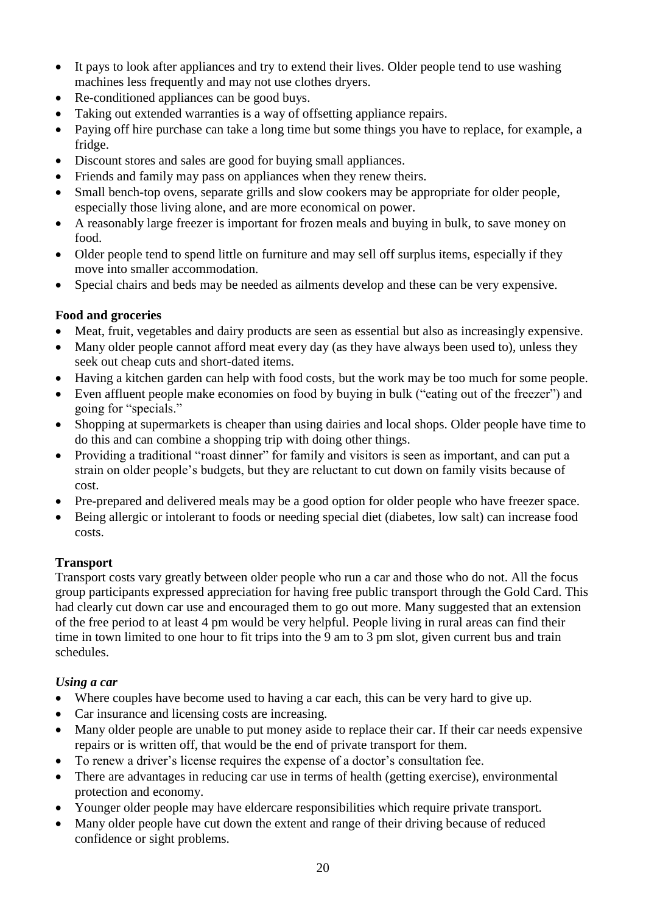- It pays to look after appliances and try to extend their lives. Older people tend to use washing machines less frequently and may not use clothes dryers.
- Re-conditioned appliances can be good buys.
- Taking out extended warranties is a way of offsetting appliance repairs.
- Paying off hire purchase can take a long time but some things you have to replace, for example, a fridge.
- Discount stores and sales are good for buying small appliances.
- Friends and family may pass on appliances when they renew theirs.
- Small bench-top ovens, separate grills and slow cookers may be appropriate for older people, especially those living alone, and are more economical on power.
- A reasonably large freezer is important for frozen meals and buying in bulk, to save money on food.
- Older people tend to spend little on furniture and may sell off surplus items, especially if they move into smaller accommodation.
- Special chairs and beds may be needed as ailments develop and these can be very expensive.

## **Food and groceries**

- Meat, fruit, vegetables and dairy products are seen as essential but also as increasingly expensive.
- Many older people cannot afford meat every day (as they have always been used to), unless they seek out cheap cuts and short-dated items.
- Having a kitchen garden can help with food costs, but the work may be too much for some people.
- Even affluent people make economies on food by buying in bulk ("eating out of the freezer") and going for "specials."
- Shopping at supermarkets is cheaper than using dairies and local shops. Older people have time to do this and can combine a shopping trip with doing other things.
- Providing a traditional "roast dinner" for family and visitors is seen as important, and can put a strain on older people's budgets, but they are reluctant to cut down on family visits because of cost.
- Pre-prepared and delivered meals may be a good option for older people who have freezer space.
- Being allergic or intolerant to foods or needing special diet (diabetes, low salt) can increase food costs.

## **Transport**

Transport costs vary greatly between older people who run a car and those who do not. All the focus group participants expressed appreciation for having free public transport through the Gold Card. This had clearly cut down car use and encouraged them to go out more. Many suggested that an extension of the free period to at least 4 pm would be very helpful. People living in rural areas can find their time in town limited to one hour to fit trips into the 9 am to 3 pm slot, given current bus and train schedules.

## *Using a car*

- Where couples have become used to having a car each, this can be very hard to give up.
- Car insurance and licensing costs are increasing.
- Many older people are unable to put money aside to replace their car. If their car needs expensive repairs or is written off, that would be the end of private transport for them.
- To renew a driver's license requires the expense of a doctor's consultation fee.
- There are advantages in reducing car use in terms of health (getting exercise), environmental protection and economy.
- Younger older people may have eldercare responsibilities which require private transport.
- Many older people have cut down the extent and range of their driving because of reduced confidence or sight problems.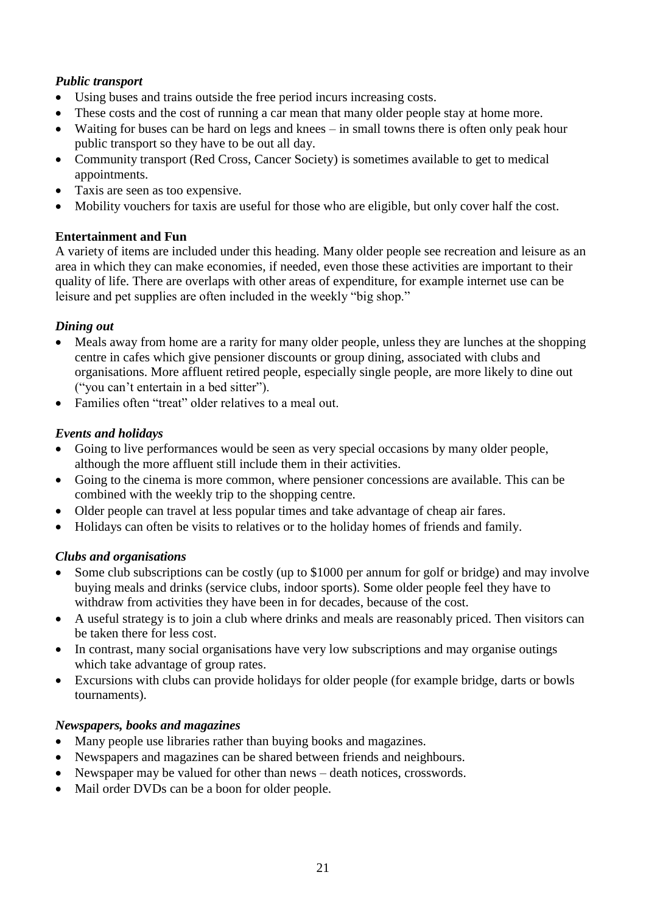## *Public transport*

- Using buses and trains outside the free period incurs increasing costs.
- These costs and the cost of running a car mean that many older people stay at home more.
- Waiting for buses can be hard on legs and knees in small towns there is often only peak hour public transport so they have to be out all day.
- Community transport (Red Cross, Cancer Society) is sometimes available to get to medical appointments.
- Taxis are seen as too expensive.
- Mobility vouchers for taxis are useful for those who are eligible, but only cover half the cost.

## **Entertainment and Fun**

A variety of items are included under this heading. Many older people see recreation and leisure as an area in which they can make economies, if needed, even those these activities are important to their quality of life. There are overlaps with other areas of expenditure, for example internet use can be leisure and pet supplies are often included in the weekly "big shop."

## *Dining out*

- Meals away from home are a rarity for many older people, unless they are lunches at the shopping centre in cafes which give pensioner discounts or group dining, associated with clubs and organisations. More affluent retired people, especially single people, are more likely to dine out ("you can't entertain in a bed sitter").
- Families often "treat" older relatives to a meal out.

## *Events and holidays*

- Going to live performances would be seen as very special occasions by many older people, although the more affluent still include them in their activities.
- Going to the cinema is more common, where pensioner concessions are available. This can be combined with the weekly trip to the shopping centre.
- Older people can travel at less popular times and take advantage of cheap air fares.
- Holidays can often be visits to relatives or to the holiday homes of friends and family.

## *Clubs and organisations*

- Some club subscriptions can be costly (up to \$1000 per annum for golf or bridge) and may involve buying meals and drinks (service clubs, indoor sports). Some older people feel they have to withdraw from activities they have been in for decades, because of the cost.
- A useful strategy is to join a club where drinks and meals are reasonably priced. Then visitors can be taken there for less cost.
- In contrast, many social organisations have very low subscriptions and may organise outings which take advantage of group rates.
- Excursions with clubs can provide holidays for older people (for example bridge, darts or bowls tournaments).

## *Newspapers, books and magazines*

- Many people use libraries rather than buying books and magazines.
- Newspapers and magazines can be shared between friends and neighbours.
- Newspaper may be valued for other than news death notices, crosswords.
- Mail order DVDs can be a boon for older people.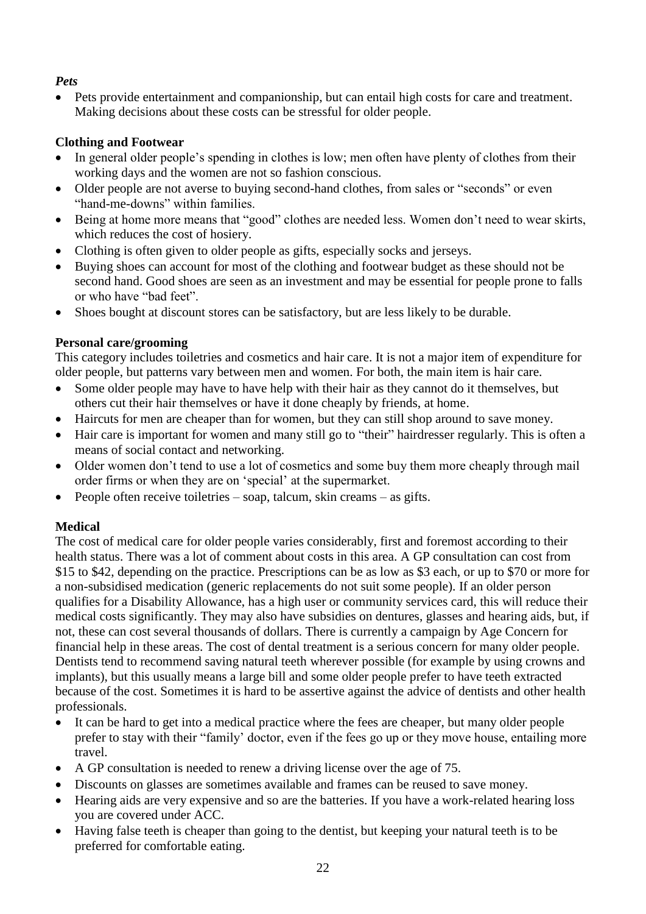## *Pets*

 Pets provide entertainment and companionship, but can entail high costs for care and treatment. Making decisions about these costs can be stressful for older people.

## **Clothing and Footwear**

- In general older people's spending in clothes is low; men often have plenty of clothes from their working days and the women are not so fashion conscious.
- Older people are not averse to buying second-hand clothes, from sales or "seconds" or even "hand-me-downs" within families.
- Being at home more means that "good" clothes are needed less. Women don't need to wear skirts, which reduces the cost of hosiery.
- Clothing is often given to older people as gifts, especially socks and jerseys.
- Buying shoes can account for most of the clothing and footwear budget as these should not be second hand. Good shoes are seen as an investment and may be essential for people prone to falls or who have "bad feet".
- Shoes bought at discount stores can be satisfactory, but are less likely to be durable.

## **Personal care/grooming**

This category includes toiletries and cosmetics and hair care. It is not a major item of expenditure for older people, but patterns vary between men and women. For both, the main item is hair care.

- Some older people may have to have help with their hair as they cannot do it themselves, but others cut their hair themselves or have it done cheaply by friends, at home.
- Haircuts for men are cheaper than for women, but they can still shop around to save money.
- Hair care is important for women and many still go to "their" hairdresser regularly. This is often a means of social contact and networking.
- Older women don't tend to use a lot of cosmetics and some buy them more cheaply through mail order firms or when they are on 'special' at the supermarket.
- People often receive toiletries soap, talcum, skin creams as gifts.

## **Medical**

The cost of medical care for older people varies considerably, first and foremost according to their health status. There was a lot of comment about costs in this area. A GP consultation can cost from \$15 to \$42, depending on the practice. Prescriptions can be as low as \$3 each, or up to \$70 or more for a non-subsidised medication (generic replacements do not suit some people). If an older person qualifies for a Disability Allowance, has a high user or community services card, this will reduce their medical costs significantly. They may also have subsidies on dentures, glasses and hearing aids, but, if not, these can cost several thousands of dollars. There is currently a campaign by Age Concern for financial help in these areas. The cost of dental treatment is a serious concern for many older people. Dentists tend to recommend saving natural teeth wherever possible (for example by using crowns and implants), but this usually means a large bill and some older people prefer to have teeth extracted because of the cost. Sometimes it is hard to be assertive against the advice of dentists and other health professionals.

- It can be hard to get into a medical practice where the fees are cheaper, but many older people prefer to stay with their "family' doctor, even if the fees go up or they move house, entailing more travel.
- A GP consultation is needed to renew a driving license over the age of 75.
- Discounts on glasses are sometimes available and frames can be reused to save money.
- Hearing aids are very expensive and so are the batteries. If you have a work-related hearing loss you are covered under ACC.
- Having false teeth is cheaper than going to the dentist, but keeping your natural teeth is to be preferred for comfortable eating.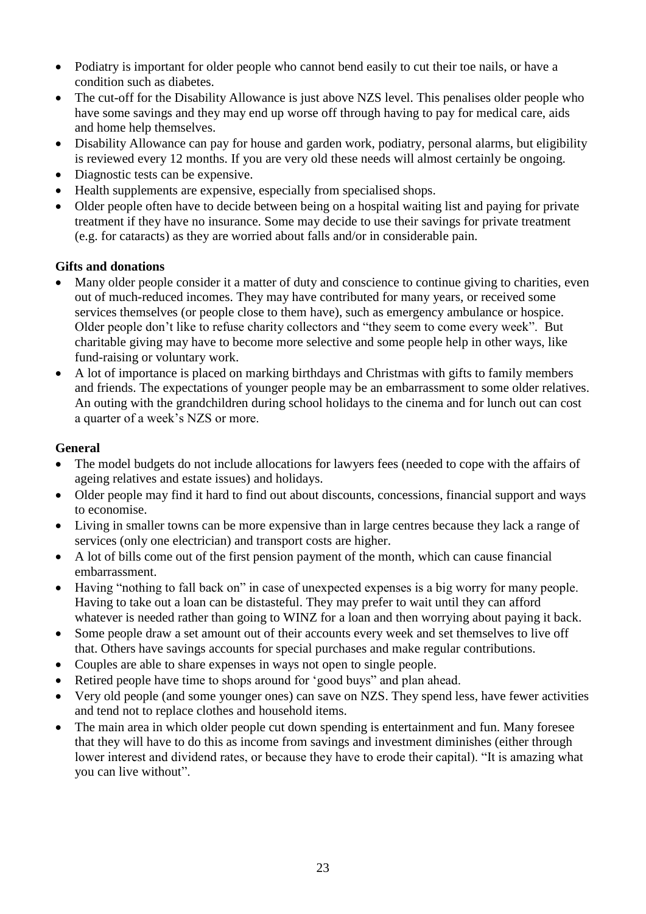- Podiatry is important for older people who cannot bend easily to cut their toe nails, or have a condition such as diabetes.
- The cut-off for the Disability Allowance is just above NZS level. This penalises older people who have some savings and they may end up worse off through having to pay for medical care, aids and home help themselves.
- Disability Allowance can pay for house and garden work, podiatry, personal alarms, but eligibility is reviewed every 12 months. If you are very old these needs will almost certainly be ongoing.
- Diagnostic tests can be expensive.
- Health supplements are expensive, especially from specialised shops.
- Older people often have to decide between being on a hospital waiting list and paying for private treatment if they have no insurance. Some may decide to use their savings for private treatment (e.g. for cataracts) as they are worried about falls and/or in considerable pain.

## **Gifts and donations**

- Many older people consider it a matter of duty and conscience to continue giving to charities, even out of much-reduced incomes. They may have contributed for many years, or received some services themselves (or people close to them have), such as emergency ambulance or hospice. Older people don't like to refuse charity collectors and "they seem to come every week". But charitable giving may have to become more selective and some people help in other ways, like fund-raising or voluntary work.
- A lot of importance is placed on marking birthdays and Christmas with gifts to family members and friends. The expectations of younger people may be an embarrassment to some older relatives. An outing with the grandchildren during school holidays to the cinema and for lunch out can cost a quarter of a week's NZS or more.

#### **General**

- The model budgets do not include allocations for lawyers fees (needed to cope with the affairs of ageing relatives and estate issues) and holidays.
- Older people may find it hard to find out about discounts, concessions, financial support and ways to economise.
- Living in smaller towns can be more expensive than in large centres because they lack a range of services (only one electrician) and transport costs are higher.
- A lot of bills come out of the first pension payment of the month, which can cause financial embarrassment.
- Having "nothing to fall back on" in case of unexpected expenses is a big worry for many people. Having to take out a loan can be distasteful. They may prefer to wait until they can afford whatever is needed rather than going to WINZ for a loan and then worrying about paying it back.
- Some people draw a set amount out of their accounts every week and set themselves to live off that. Others have savings accounts for special purchases and make regular contributions.
- Couples are able to share expenses in ways not open to single people.
- Retired people have time to shops around for 'good buys" and plan ahead.
- Very old people (and some younger ones) can save on NZS. They spend less, have fewer activities and tend not to replace clothes and household items.
- The main area in which older people cut down spending is entertainment and fun. Many foresee that they will have to do this as income from savings and investment diminishes (either through lower interest and dividend rates, or because they have to erode their capital). "It is amazing what you can live without".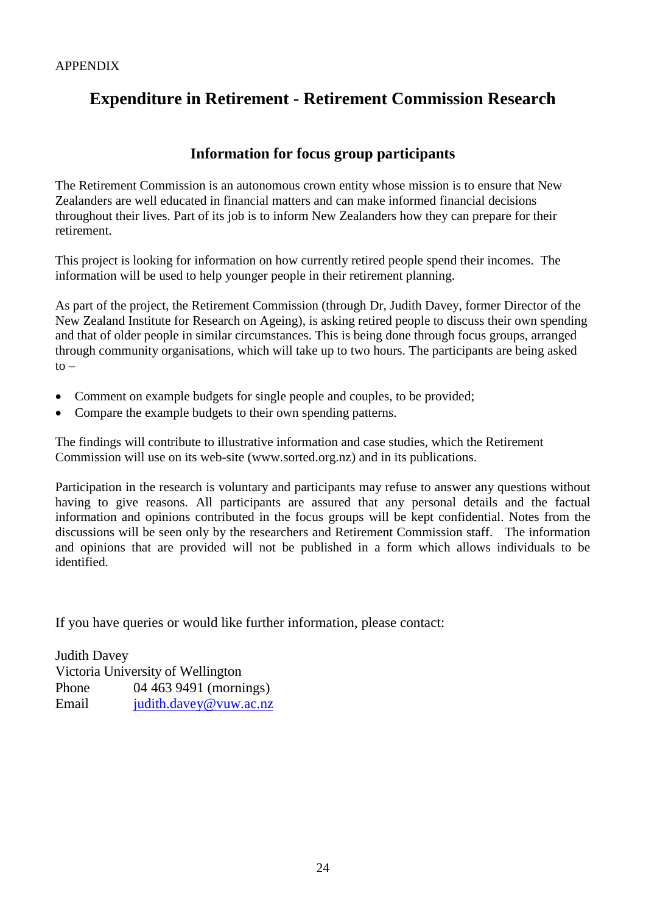## **Expenditure in Retirement - Retirement Commission Research**

## **Information for focus group participants**

The Retirement Commission is an autonomous crown entity whose mission is to ensure that New Zealanders are well educated in financial matters and can make informed financial decisions throughout their lives. Part of its job is to inform New Zealanders how they can prepare for their retirement.

This project is looking for information on how currently retired people spend their incomes. The information will be used to help younger people in their retirement planning.

As part of the project, the Retirement Commission (through Dr, Judith Davey, former Director of the New Zealand Institute for Research on Ageing), is asking retired people to discuss their own spending and that of older people in similar circumstances. This is being done through focus groups, arranged through community organisations, which will take up to two hours. The participants are being asked  $to -$ 

- Comment on example budgets for single people and couples, to be provided;
- Compare the example budgets to their own spending patterns.

The findings will contribute to illustrative information and case studies, which the Retirement Commission will use on its web-site (www.sorted.org.nz) and in its publications.

Participation in the research is voluntary and participants may refuse to answer any questions without having to give reasons. All participants are assured that any personal details and the factual information and opinions contributed in the focus groups will be kept confidential. Notes from the discussions will be seen only by the researchers and Retirement Commission staff. The information and opinions that are provided will not be published in a form which allows individuals to be identified.

If you have queries or would like further information, please contact:

Judith Davey Victoria University of Wellington Phone 04 463 9491 (mornings) Email [judith.davey@vuw.ac.nz](mailto:judith.davey@vuw.ac.nz)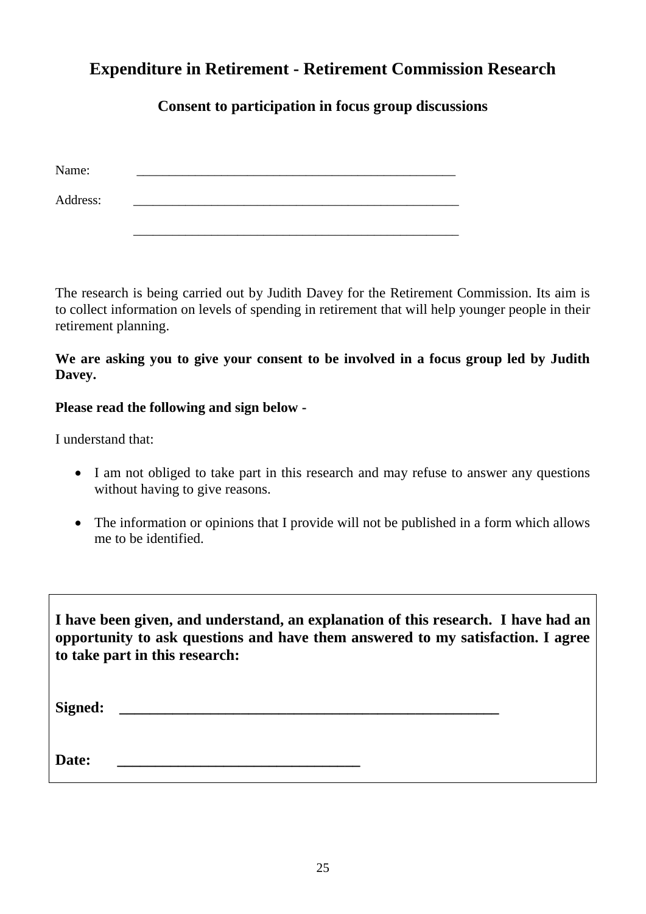## **Expenditure in Retirement - Retirement Commission Research**

## **Consent to participation in focus group discussions**

| Name:    |  |  |
|----------|--|--|
| Address: |  |  |

The research is being carried out by Judith Davey for the Retirement Commission. Its aim is to collect information on levels of spending in retirement that will help younger people in their retirement planning.

\_\_\_\_\_\_\_\_\_\_\_\_\_\_\_\_\_\_\_\_\_\_\_\_\_\_\_\_\_\_\_\_\_\_\_\_\_\_\_\_\_\_\_\_\_\_\_\_\_\_

**We are asking you to give your consent to be involved in a focus group led by Judith Davey.** 

## **Please read the following and sign below -**

I understand that:

- I am not obliged to take part in this research and may refuse to answer any questions without having to give reasons.
- The information or opinions that I provide will not be published in a form which allows me to be identified.

**I have been given, and understand, an explanation of this research. I have had an opportunity to ask questions and have them answered to my satisfaction. I agree to take part in this research:**

| <b>Signed:</b> |  |
|----------------|--|
|                |  |
| Date:          |  |